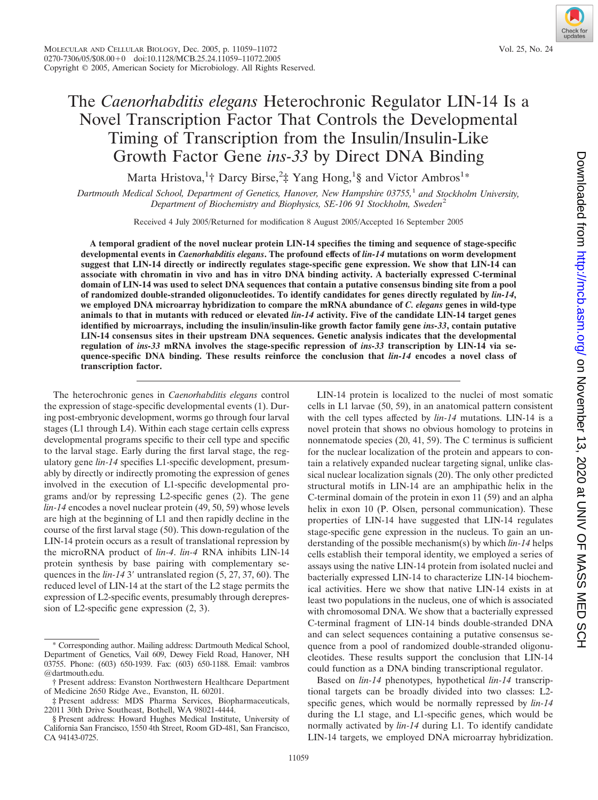# The *Caenorhabditis elegans* Heterochronic Regulator LIN-14 Is a Novel Transcription Factor That Controls the Developmental Timing of Transcription from the Insulin/Insulin-Like Growth Factor Gene *ins-33* by Direct DNA Binding

Marta Hristova,<sup>1</sup>† Darcy Birse,<sup>2</sup>‡ Yang Hong,<sup>1</sup>§ and Victor Ambros<sup>1</sup>\*

*Dartmouth Medical School, Department of Genetics, Hanover, New Hampshire 03755,*<sup>1</sup> *and Stockholm University, Department of Biochemistry and Biophysics, SE-106 91 Stockholm, Sweden*<sup>2</sup>

Received 4 July 2005/Returned for modification 8 August 2005/Accepted 16 September 2005

**A temporal gradient of the novel nuclear protein LIN-14 specifies the timing and sequence of stage-specific developmental events in** *Caenorhabditis elegans***. The profound effects of** *lin-14* **mutations on worm development suggest that LIN-14 directly or indirectly regulates stage-specific gene expression. We show that LIN-14 can associate with chromatin in vivo and has in vitro DNA binding activity. A bacterially expressed C-terminal domain of LIN-14 was used to select DNA sequences that contain a putative consensus binding site from a pool of randomized double-stranded oligonucleotides. To identify candidates for genes directly regulated by** *lin-14***, we employed DNA microarray hybridization to compare the mRNA abundance of** *C. elegans* **genes in wild-type animals to that in mutants with reduced or elevated** *lin-14* **activity. Five of the candidate LIN-14 target genes identified by microarrays, including the insulin/insulin-like growth factor family gene** *ins-33***, contain putative LIN-14 consensus sites in their upstream DNA sequences. Genetic analysis indicates that the developmental regulation of** *ins-33* **mRNA involves the stage-specific repression of** *ins-33* **transcription by LIN-14 via sequence-specific DNA binding. These results reinforce the conclusion that** *lin-14* **encodes a novel class of transcription factor.**

The heterochronic genes in *Caenorhabditis elegans* control the expression of stage-specific developmental events (1). During post-embryonic development, worms go through four larval stages (L1 through L4). Within each stage certain cells express developmental programs specific to their cell type and specific to the larval stage. Early during the first larval stage, the regulatory gene *lin-14* specifies L1-specific development, presumably by directly or indirectly promoting the expression of genes involved in the execution of L1-specific developmental programs and/or by repressing L2-specific genes (2). The gene *lin-14* encodes a novel nuclear protein (49, 50, 59) whose levels are high at the beginning of L1 and then rapidly decline in the course of the first larval stage (50). This down-regulation of the LIN-14 protein occurs as a result of translational repression by the microRNA product of *lin-4*. *lin-4* RNA inhibits LIN-14 protein synthesis by base pairing with complementary sequences in the *lin-14* 3' untranslated region (5, 27, 37, 60). The reduced level of LIN-14 at the start of the L2 stage permits the expression of L2-specific events, presumably through derepression of L2-specific gene expression (2, 3).

LIN-14 protein is localized to the nuclei of most somatic cells in L1 larvae (50, 59), in an anatomical pattern consistent with the cell types affected by *lin-14* mutations. LIN-14 is a novel protein that shows no obvious homology to proteins in nonnematode species (20, 41, 59). The C terminus is sufficient for the nuclear localization of the protein and appears to contain a relatively expanded nuclear targeting signal, unlike classical nuclear localization signals (20). The only other predicted structural motifs in LIN-14 are an amphipathic helix in the C-terminal domain of the protein in exon 11 (59) and an alpha helix in exon 10 (P. Olsen, personal communication). These properties of LIN-14 have suggested that LIN-14 regulates stage-specific gene expression in the nucleus. To gain an understanding of the possible mechanism(s) by which *lin-14* helps cells establish their temporal identity, we employed a series of assays using the native LIN-14 protein from isolated nuclei and bacterially expressed LIN-14 to characterize LIN-14 biochemical activities. Here we show that native LIN-14 exists in at least two populations in the nucleus, one of which is associated with chromosomal DNA. We show that a bacterially expressed C-terminal fragment of LIN-14 binds double-stranded DNA and can select sequences containing a putative consensus sequence from a pool of randomized double-stranded oligonucleotides. These results support the conclusion that LIN-14 could function as a DNA binding transcriptional regulator.

Based on *lin-14* phenotypes, hypothetical *lin-14* transcriptional targets can be broadly divided into two classes: L2 specific genes, which would be normally repressed by *lin-14* during the L1 stage, and L1-specific genes, which would be normally activated by *lin-14* during L1. To identify candidate LIN-14 targets, we employed DNA microarray hybridization.

Corresponding author. Mailing address: Dartmouth Medical School, Department of Genetics, Vail 609, Dewey Field Road, Hanover, NH 03755. Phone: (603) 650-1939. Fax: (603) 650-1188. Email: vambros @dartmouth.edu.

<sup>†</sup> Present address: Evanston Northwestern Healthcare Department of Medicine 2650 Ridge Ave., Evanston, IL 60201.

<sup>‡</sup> Present address: MDS Pharma Services, Biopharmaceuticals, 22011 30th Drive Southeast, Bothell, WA 98021-4444.

<sup>§</sup> Present address: Howard Hughes Medical Institute, University of California San Francisco, 1550 4th Street, Room GD-481, San Francisco, CA 94143-0725.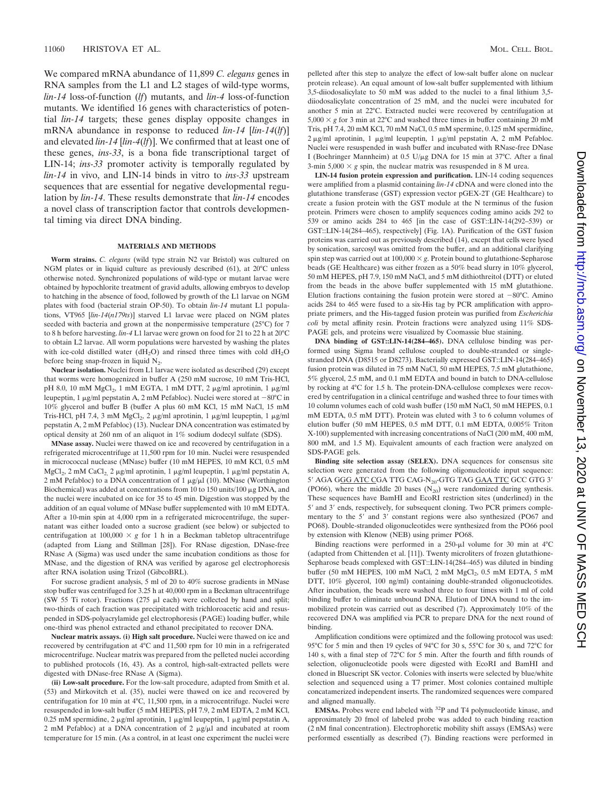We compared mRNA abundance of 11,899 *C. elegans* genes in RNA samples from the L1 and L2 stages of wild-type worms, *lin-14* loss-of-function (*lf*) mutants, and *lin-4* loss-of-function mutants. We identified 16 genes with characteristics of potential *lin-14* targets; these genes display opposite changes in mRNA abundance in response to reduced *lin-14* [*lin-14*(*lf*)] and elevated *lin-14* [*lin-4*(*lf*)]. We confirmed that at least one of these genes, *ins-33*, is a bona fide transcriptional target of LIN-14; *ins-33* promoter activity is temporally regulated by *lin-14* in vivo, and LIN-14 binds in vitro to *ins-33* upstream sequences that are essential for negative developmental regulation by *lin-14*. These results demonstrate that *lin-14* encodes a novel class of transcription factor that controls developmental timing via direct DNA binding.

## **MATERIALS AND METHODS**

**Worm strains.** *C. elegans* (wild type strain N2 var Bristol) was cultured on NGM plates or in liquid culture as previously described (61), at 20°C unless otherwise noted. Synchronized populations of wild-type or mutant larvae were obtained by hypochlorite treatment of gravid adults, allowing embryos to develop to hatching in the absence of food, followed by growth of the L1 larvae on NGM plates with food (bacterial strain OP-50). To obtain *lin-14* mutant L1 populations, VT965 [*lin-14*(*n179ts*)] starved L1 larvae were placed on NGM plates seeded with bacteria and grown at the nonpermissive temperature (25°C) for 7 to 8 h before harvesting. *lin-4* L1 larvae were grown on food for 21 to 22 h at 20°C to obtain L2 larvae. All worm populations were harvested by washing the plates with ice-cold distilled water (dH<sub>2</sub>O) and rinsed three times with cold dH<sub>2</sub>O before being snap-frozen in liquid  $N<sub>2</sub>$ .

**Nuclear isolation.** Nuclei from L1 larvae were isolated as described (29) except that worms were homogenized in buffer A (250 mM sucrose, 10 mM Tris-HCl, pH 8.0, 10 mM MgCl<sub>2</sub>, 1 mM EGTA, 1 mM DTT, 2 μg/ml aprotinin, 1 μg/ml leupeptin, 1  $\mu$ g/ml pepstatin A, 2 mM Pefabloc). Nuclei were stored at  $-80^{\circ}$ C in 10% glycerol and buffer B (buffer A plus 60 mM KCl, 15 mM NaCl, 15 mM Tris-HCl, pH 7.4, 3 mM MgCl<sub>2</sub>, 2  $\mu$ g/ml aprotinin, 1  $\mu$ g/ml leupeptin, 1  $\mu$ g/ml pepstatin A, 2 mM Pefabloc) (13). Nuclear DNA concentration was estimated by optical density at 260 nm of an aliquot in 1% sodium dodecyl sulfate (SDS).

**MNase assay.** Nuclei were thawed on ice and recovered by centrifugation in a refrigerated microcentrifuge at 11,500 rpm for 10 min. Nuclei were resuspended in micrococcal nuclease (MNase) buffer (10 mM HEPES, 10 mM KCl, 0.5 mM MgCl<sub>2</sub>, 2 mM CaCl<sub>2,</sub> 2  $\mu$ g/ml aprotinin, 1  $\mu$ g/ml leupeptin, 1  $\mu$ g/ml pepstatin A, 2 mM Pefabloc) to a DNA concentration of 1  $\mu$ g/ $\mu$ l (10). MNase (Worthington Biochemical) was added at concentrations from 10 to 150 units/100  $\mu$ g DNA, and the nuclei were incubated on ice for 35 to 45 min. Digestion was stopped by the addition of an equal volume of MNase buffer supplemented with 10 mM EDTA. After a 10-min spin at 4,000 rpm in a refrigerated microcentrifuge, the supernatant was either loaded onto a sucrose gradient (see below) or subjected to centrifugation at  $100,000 \times g$  for 1 h in a Beckman tabletop ultracentrifuge (adapted from Liang and Stillman [28]). For RNase digestion, DNase-free RNase A (Sigma) was used under the same incubation conditions as those for MNase, and the digestion of RNA was verified by agarose gel electrophoresis after RNA isolation using Trizol (GibcoBRL).

For sucrose gradient analysis, 5 ml of 20 to 40% sucrose gradients in MNase stop buffer was centrifuged for 3.25 h at 40,000 rpm in a Beckman ultracentrifuge (SW 55 Ti rotor). Fractions (275  $\mu$ l each) were collected by hand and split; two-thirds of each fraction was precipitated with trichloroacetic acid and resuspended in SDS-polyacrylamide gel electrophoresis (PAGE) loading buffer, while one-third was phenol extracted and ethanol precipitated to recover DNA.

**Nuclear matrix assays. (i) High salt procedure.** Nuclei were thawed on ice and recovered by centrifugation at 4°C and 11,500 rpm for 10 min in a refrigerated microcentrifuge. Nuclear matrix was prepared from the pelleted nuclei according to published protocols (16, 43). As a control, high-salt-extracted pellets were digested with DNase-free RNase A (Sigma).

**(ii) Low-salt procedure.** For the low-salt procedure, adapted from Smith et al. (53) and Mirkovitch et al. (35), nuclei were thawed on ice and recovered by centrifugation for 10 min at 4°C, 11,500 rpm, in a microcentrifuge. Nuclei were resuspended in low-salt buffer (5 mM HEPES, pH 7.9, 2 mM EDTA, 2 mM KCl, 0.25 mM spermidine, 2  $\mu$ g/ml aprotinin, 1  $\mu$ g/ml leupeptin, 1  $\mu$ g/ml pepstatin A, 2 mM Pefabloc) at a DNA concentration of 2  $\mu$ g/ $\mu$ l and incubated at room temperature for 15 min. (As a control, in at least one experiment the nuclei were

pelleted after this step to analyze the effect of low-salt buffer alone on nuclear protein release). An equal amount of low-salt buffer supplemented with lithium 3,5-diiodosalicylate to 50 mM was added to the nuclei to a final lithium 3,5 diiodosalicylate concentration of 25 mM, and the nuclei were incubated for another 5 min at 22°C. Extracted nuclei were recovered by centrifugation at  $5,000 \times g$  for 3 min at 22°C and washed three times in buffer containing 20 mM Tris, pH 7.4, 20 mM KCl, 70 mM NaCl, 0.5 mM spermine, 0.125 mM spermidine,  $2 \mu g/ml$  aprotinin, 1  $\mu g/ml$  leupeptin, 1  $\mu g/ml$  pepstatin A, 2 mM Pefabloc. Nuclei were resuspended in wash buffer and incubated with RNase-free DNase I (Boehringer Mannheim) at 0.5 U/µg DNA for 15 min at 37°C. After a final 3-min  $5,000 \times g$  spin, the nuclear matrix was resuspended in 8 M urea.

**LIN-14 fusion protein expression and purification.** LIN-14 coding sequences were amplified from a plasmid containing *lin-14* cDNA and were cloned into the glutathione transferase (GST) expression vector pGEX-2T (GE Healthcare) to create a fusion protein with the GST module at the N terminus of the fusion protein. Primers were chosen to amplify sequences coding amino acids 292 to 539 or amino acids 284 to 465 [in the case of GST::LIN-14(292–539) or GST::LIN-14(284–465), respectively] (Fig. 1A). Purification of the GST fusion proteins was carried out as previously described (14), except that cells were lysed by sonication, sarcosyl was omitted from the buffer, and an additional clarifying spin step was carried out at  $100,000 \times g$ . Protein bound to glutathione-Sepharose beads (GE Healthcare) was either frozen as a 50% bead slurry in 10% glycerol, 50 mM HEPES, pH 7.9, 150 mM NaCl, and 5 mM dithiothreitol (DTT) or eluted from the beads in the above buffer supplemented with 15 mM glutathione. Elution fractions containing the fusion protein were stored at  $-80^{\circ}$ C. Amino acids 284 to 465 were fused to a six-His tag by PCR amplification with appropriate primers, and the His-tagged fusion protein was purified from *Escherichia coli* by metal affinity resin. Protein fractions were analyzed using 11% SDS-PAGE gels, and proteins were visualized by Coomassie blue staining.

**DNA binding of GST::LIN-14(284–465).** DNA cellulose binding was performed using Sigma brand cellulose coupled to double-stranded or singlestranded DNA (D8515 or D8273). Bacterially expressed GST::LIN-14(284–465) fusion protein was diluted in 75 mM NaCl, 50 mM HEPES, 7.5 mM glutathione, 5% glycerol, 2.5 mM, and 0.1 mM EDTA and bound in batch to DNA-cellulose by rocking at 4°C for 1.5 h. The protein-DNA-cellulose complexes were recovered by centrifugation in a clinical centrifuge and washed three to four times with 10 column volumes each of cold wash buffer (150 mM NaCl, 50 mM HEPES, 0.1 mM EDTA, 0.5 mM DTT). Protein was eluted with 3 to 6 column volumes of elution buffer (50 mM HEPES, 0.5 mM DTT, 0.1 mM EDTA, 0.005% Triton X-100) supplemented with increasing concentrations of NaCl (200 mM, 400 mM, 800 mM, and 1.5 M). Equivalent amounts of each fraction were analyzed on SDS-PAGE gels.

**Binding site selection assay (SELEX).** DNA sequences for consensus site selection were generated from the following oligonucleotide input sequence: 5′ AGA G<u>GG ATC C</u>GA TTG CAG-N<sub>20</sub>-GTG TAG <u>GAA TTC</u> GCC GTG 3′ (PO66), where the middle 20 bases  $(N_{20})$  were randomized during synthesis. These sequences have BamHI and EcoRI restriction sites (underlined) in the 5' and 3' ends, respectively, for subsequent cloning. Two PCR primers complementary to the 5' and 3' constant regions were also synthesized (PO67 and PO68). Double-stranded oligonucleotides were synthesized from the PO66 pool by extension with Klenow (NEB) using primer PO68.

Binding reactions were performed in a  $250-\mu l$  volume for 30 min at  $4^{\circ}C$ (adapted from Chittenden et al. [11]). Twenty microliters of frozen glutathione-Sepharose beads complexed with GST::LIN-14(284–465) was diluted in binding buffer (50 mM HEPES, 100 mM NaCl, 2 mM MgCl<sub>2</sub>, 0.5 mM EDTA, 5 mM DTT, 10% glycerol, 100 ng/ml) containing double-stranded oligonucleotides. After incubation, the beads were washed three to four times with 1 ml of cold binding buffer to eliminate unbound DNA. Elution of DNA bound to the immobilized protein was carried out as described (7). Approximately 10% of the recovered DNA was amplified via PCR to prepare DNA for the next round of binding.

Amplification conditions were optimized and the following protocol was used: 95°C for 5 min and then 19 cycles of 94°C for 30 s, 55°C for 30 s, and 72°C for 140 s, with a final step of 72°C for 5 min. After the fourth and fifth rounds of selection, oligonucleotide pools were digested with EcoRI and BamHI and cloned in Bluescript SK vector. Colonies with inserts were selected by blue/white selection and sequenced using a T7 primer. Most colonies contained multiple concatamerized independent inserts. The randomized sequences were compared and aligned manually.

**EMSAs.** Probes were end labeled with 32P and T4 polynucleotide kinase, and approximately 20 fmol of labeled probe was added to each binding reaction (2 nM final concentration). Electrophoretic mobility shift assays (EMSAs) were performed essentially as described (7). Binding reactions were performed in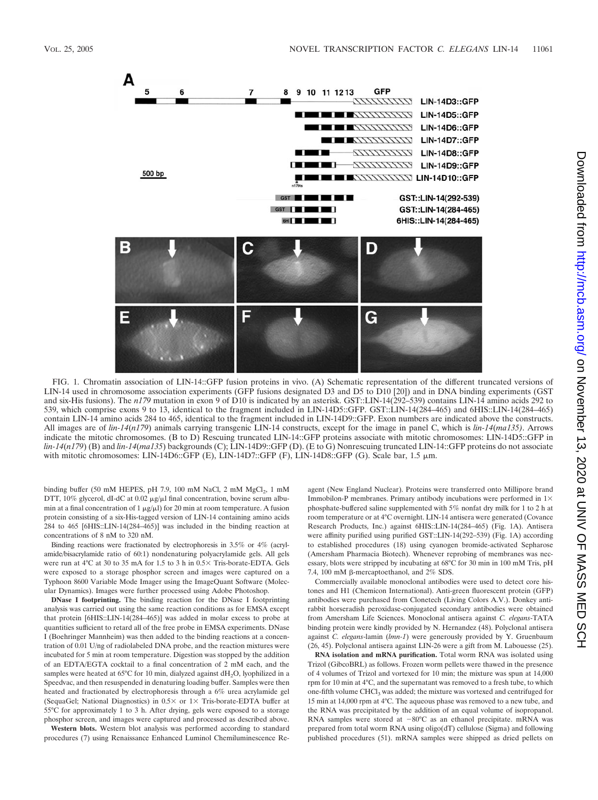

FIG. 1. Chromatin association of LIN-14::GFP fusion proteins in vivo. (A) Schematic representation of the different truncated versions of LIN-14 used in chromosome association experiments (GFP fusions designated D3 and D5 to D10 [20]) and in DNA binding experiments (GST and six-His fusions). The *n179* mutation in exon 9 of D10 is indicated by an asterisk. GST::LIN-14(292–539) contains LIN-14 amino acids 292 to 539, which comprise exons 9 to 13, identical to the fragment included in LIN-14D5::GFP. GST::LIN-14(284–465) and 6HIS::LIN-14(284–465) contain LIN-14 amino acids 284 to 465, identical to the fragment included in LIN-14D9::GFP. Exon numbers are indicated above the constructs. All images are of *lin-14*(*n179*) animals carrying transgenic LIN-14 constructs, except for the image in panel C, which is *lin-14*(*ma135)*. Arrows indicate the mitotic chromosomes. (B to D) Rescuing truncated LIN-14::GFP proteins associate with mitotic chromosomes: LIN-14D5::GFP in *lin-14*(*n179*) (B) and *lin-14*(*ma135*) backgrounds (C); LIN-14D9::GFP (D). (E to G) Nonrescuing truncated LIN-14::GFP proteins do not associate with mitotic chromosomes: LIN-14D6::GFP (E), LIN-14D7::GFP (F), LIN-14D8::GFP (G). Scale bar, 1.5  $\mu$ m.

binding buffer (50 mM HEPES, pH 7.9, 100 mM NaCl, 2 mM  $MgCl<sub>2</sub>$ , 1 mM DTT,  $10\%$  glycerol, dI-dC at  $0.02 \mu g/\mu$  final concentration, bovine serum albumin at a final concentration of 1  $\mu$ g/ $\mu$ l) for 20 min at room temperature. A fusion protein consisting of a six-His-tagged version of LIN-14 containing amino acids 284 to 465 [6HIS::LIN-14(284–465)] was included in the binding reaction at concentrations of 8 nM to 320 nM.

Binding reactions were fractionated by electrophoresis in 3.5% or 4% (acrylamide/bisacrylamide ratio of 60:1) nondenaturing polyacrylamide gels. All gels were run at 4°C at 30 to 35 mA for 1.5 to 3 h in 0.5  $\times$  Tris-borate-EDTA. Gels were exposed to a storage phosphor screen and images were captured on a Typhoon 8600 Variable Mode Imager using the ImageQuant Software (Molecular Dynamics). Images were further processed using Adobe Photoshop.

**DNase I footprinting.** The binding reaction for the DNase I footprinting analysis was carried out using the same reaction conditions as for EMSA except that protein [6HIS::LIN-14(284–465)] was added in molar excess to probe at quantities sufficient to retard all of the free probe in EMSA experiments. DNase I (Boehringer Mannheim) was then added to the binding reactions at a concentration of 0.01 U/ng of radiolabeled DNA probe, and the reaction mixtures were incubated for 5 min at room temperature. Digestion was stopped by the addition of an EDTA/EGTA cocktail to a final concentration of 2 mM each, and the samples were heated at 65°C for 10 min, dialyzed against  $dH_2O$ , lyophilized in a Speedvac, and then resuspended in denaturing loading buffer. Samples were then heated and fractionated by electrophoresis through a 6% urea acrylamide gel (SequaGel; National Diagnostics) in  $0.5 \times$  or  $1 \times$  Tris-borate-EDTA buffer at 55°C for approximately 1 to 3 h. After drying, gels were exposed to a storage phosphor screen, and images were captured and processed as described above.

**Western blots.** Western blot analysis was performed according to standard procedures (7) using Renaissance Enhanced Luminol Chemiluminescence Reagent (New England Nuclear). Proteins were transferred onto Millipore brand Immobilon-P membranes. Primary antibody incubations were performed in  $1\times$ phosphate-buffered saline supplemented with 5% nonfat dry milk for 1 to 2 h at room temperature or at 4°C overnight. LIN-14 antisera were generated (Covance Research Products, Inc.) against 6HIS::LIN-14(284–465) (Fig. 1A). Antisera were affinity purified using purified GST::LIN-14(292–539) (Fig. 1A) according to established procedures (18) using cyanogen bromide-activated Sepharose (Amersham Pharmacia Biotech). Whenever reprobing of membranes was necessary, blots were stripped by incubating at 68°C for 30 min in 100 mM Tris, pH 7.4, 100 mM  $\beta$ -mercaptoethanol, and 2% SDS.

Commercially available monoclonal antibodies were used to detect core histones and H1 (Chemicon International). Anti-green fluorescent protein (GFP) antibodies were purchased from Clonetech (Living Colors A.V.). Donkey antirabbit horseradish peroxidase-conjugated secondary antibodies were obtained from Amersham Life Sciences. Monoclonal antisera against *C. elegans*-TATA binding protein were kindly provided by N. Hernandez (48). Polyclonal antisera against *C. elegans*-lamin (*lmn-1*) were generously provided by Y. Gruenbaum (26, 45). Polyclonal antisera against LIN-26 were a gift from M. Labouesse (25).

**RNA isolation and mRNA purification.** Total worm RNA was isolated using Trizol (GibcoBRL) as follows. Frozen worm pellets were thawed in the presence of 4 volumes of Trizol and vortexed for 10 min; the mixture was spun at 14,000 rpm for 10 min at 4°C, and the supernatant was removed to a fresh tube, to which one-fifth volume CHCl<sub>3</sub> was added; the mixture was vortexed and centrifuged for 15 min at 14,000 rpm at 4°C. The aqueous phase was removed to a new tube, and the RNA was precipitated by the addition of an equal volume of isopropanol. RNA samples were stored at  $-80^{\circ}$ C as an ethanol precipitate. mRNA was prepared from total worm RNA using oligo(dT) cellulose (Sigma) and following published procedures (51). mRNA samples were shipped as dried pellets on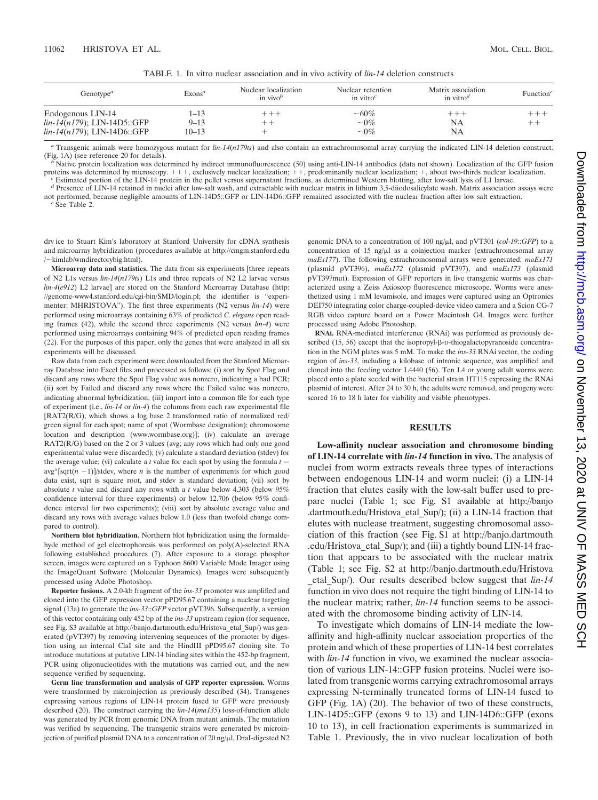TABLE 1. In vitro nuclear association and in vivo activity of *lin-14* deletion constructs

| Genotype <sup><math>a</math></sup>                               | Exons <sup>a</sup>    | Nuclear localization<br>in vivo $^b$ | Nuclear retention<br>in vitro $c$ | Matrix association<br>in vitro <sup><math>d</math></sup> | Function <sup><math>e</math></sup> |
|------------------------------------------------------------------|-----------------------|--------------------------------------|-----------------------------------|----------------------------------------------------------|------------------------------------|
| Endogenous LIN-14                                                | 1–13                  | $++++$                               | $~10\%$                           | $+++$                                                    | $+ + +$                            |
| $lin-14(n179)$ ; LIN-14D5::GFP<br>$lin-14(n179)$ ; LIN-14D6::GFP | $9 - 13$<br>$10 - 13$ |                                      | $\sim 0\%$<br>$\sim 0\%$          | NA<br>NA                                                 | $++$                               |

*<sup>a</sup>* Transgenic animals were homozygous mutant for *lin-14*(*n179ts*) and also contain an extrachromosomal array carrying the indicated LIN-14 deletion construct. (Fig. 1A) (see reference 20 for details).<br><sup>*b*</sup> Native protein localization was determined by indirect immunofluorescence (50) using anti-LIN-14 antibodies (data not shown). Localization of the GFP fusion

proteins was determined by microscopy. +++, exclusively nuclear localization; ++, predominantly nuclear localization; +, about two-thirds nuclear localization.<br>
<sup>c</sup> Estimated portion of the LIN-14 protein in the pellet ver

*<sup>d</sup>* Presence of LIN-14 retained in nuclei after low-salt wash, and extractable with nuclear matrix in lithium 3,5-diiodosalicylate wash. Matrix association assays were not performed, because negligible amounts of LIN-14D5::GFP or LIN-14D6::GFP remained associated with the nuclear fraction after low salt extraction. *<sup>e</sup>* See Table 2.

dry ice to Stuart Kim's laboratory at Stanford University for cDNA synthesis and microarray hybridization (procedures available at http://cmgm.stanford.edu /~kimlab/wmdirectorybig.html).

**Microarray data and statistics.** The data from six experiments [three repeats of N2 L1s versus *lin-14*(*n179ts*) L1s and three repeats of N2 L2 larvae versus *lin-4*(*e912*) L2 larvae] are stored on the Stanford Microarray Database (http: //genome-www4.stanford.edu/cgi-bin/SMD/login.pl; the identifier is "experimenter: MHRISTOVA"). The first three experiments (N2 versus *lin-14*) were performed using microarrays containing 63% of predicted *C. elegans* open reading frames (42), while the second three experiments (N2 versus *lin-4*) were performed using microarrays containing 94% of predicted open reading frames (22). For the purposes of this paper, only the genes that were analyzed in all six experiments will be discussed.

Raw data from each experiment were downloaded from the Stanford Microarray Database into Excel files and processed as follows: (i) sort by Spot Flag and discard any rows where the Spot Flag value was nonzero, indicating a bad PCR; (ii) sort by Failed and discard any rows where the Failed value was nonzero, indicating abnormal hybridization; (iii) import into a common file for each type of experiment (i.e., *lin-14* or *lin-4*) the columns from each raw experimental file [RAT2(R/G), which shows a log base 2 transformed ratio of normalized red/ green signal for each spot; name of spot (Wormbase designation); chromosome location and description (www.wormbase.org)]; (iv) calculate an average RAT2(R/G) based on the 2 or 3 values (avg; any rows which had only one good experimental value were discarded); (v) calculate a standard deviation (stdev) for the average value; (vi) calculate a *t* value for each spot by using the formula  $t =$  $\arg^*$ [sqrt( $n - 1$ ]/stdev, where  $n$  is the number of experiments for which good data exist, sqrt is square root, and stdev is standard deviation; (vii) sort by absolute *t* value and discard any rows with a *t* value below 4.303 (below 95% confidence interval for three experiments) or below 12.706 (below 95% confidence interval for two experiments); (viii) sort by absolute average value and discard any rows with average values below 1.0 (less than twofold change compared to control).

**Northern blot hybridization.** Northern blot hybridization using the formaldehyde method of gel electrophoresis was performed on poly(A)-selected RNA following established procedures (7). After exposure to a storage phosphor screen, images were captured on a Typhoon 8600 Variable Mode Imager using the ImageQuant Software (Molecular Dynamics). Images were subsequently processed using Adobe Photoshop.

**Reporter fusions.** A 2.0-kb fragment of the *ins-33* promoter was amplified and cloned into the GFP expression vector pPD95.67 containing a nuclear targeting signal (13a) to generate the *ins-33*::*GFP* vector pVT396. Subsequently, a version of this vector containing only 452 bp of the *ins-33* upstream region (for sequence, see Fig. S3 available at http://banjo.dartmouth.edu/Hristova\_etal\_Sup/) was generated (pVT397) by removing intervening sequences of the promoter by digestion using an internal ClaI site and the HindIII pPD95.67 cloning site. To introduce mutations at putative LIN-14 binding sites within the 452-bp fragment, PCR using oligonucleotides with the mutations was carried out, and the new sequence verified by sequencing.

**Germ line transformation and analysis of GFP reporter expression.** Worms were transformed by microinjection as previously described (34). Transgenes expressing various regions of LIN-14 protein fused to GFP were previously described (20). The construct carrying the *lin-14*(*ma135*) loss-of-function allele was generated by PCR from genomic DNA from mutant animals. The mutation was verified by sequencing. The transgenic strains were generated by microinjection of purified plasmid DNA to a concentration of 20 ng/µl, DraI-digested N2 genomic DNA to a concentration of 100 ng/ $\mu$ l, and pVT301 (*col-19*::*GFP*) to a concentration of 15 ng/ $\mu$ l as a coinjection marker (extrachromosomal array *maEx177*). The following extrachromosomal arrays were generated: *maEx171* (plasmid pVT396), *maEx172* (plasmid pVT397), and *maEx173* (plasmid pVT397mut). Expression of GFP reporters in live transgenic worms was characterized using a Zeiss Axioscop fluorescence microscope. Worms were anesthetized using 1 mM levamisole, and images were captured using an Optronics DEI750 integrating color charge-coupled-device video camera and a Scion CG-7 RGB video capture board on a Power Macintosh G4. Images were further processed using Adobe Photoshop.

**RNAi.** RNA-mediated interference (RNAi) was performed as previously described  $(15, 56)$  except that the isopropyl- $\beta$ -D-thiogalactopyranoside concentration in the NGM plates was 5 mM. To make the *ins-33* RNAi vector, the coding region of *ins-33*, including a kilobase of intronic sequence, was amplified and cloned into the feeding vector L4440 (56). Ten L4 or young adult worms were placed onto a plate seeded with the bacterial strain HT115 expressing the RNAi plasmid of interest. After 24 to 30 h, the adults were removed, and progeny were scored 16 to 18 h later for viability and visible phenotypes.

### **RESULTS**

**Low-affinity nuclear association and chromosome binding of LIN-14 correlate with** *lin-14* **function in vivo.** The analysis of nuclei from worm extracts reveals three types of interactions between endogenous LIN-14 and worm nuclei: (i) a LIN-14 fraction that elutes easily with the low-salt buffer used to prepare nuclei (Table 1; see Fig. S1 available at http://banjo .dartmouth.edu/Hristova\_etal\_Sup/); (ii) a LIN-14 fraction that elutes with nuclease treatment, suggesting chromosomal association of this fraction (see Fig. S1 at http://banjo.dartmouth .edu/Hristova\_etal\_Sup/); and (iii) a tightly bound LIN-14 fraction that appears to be associated with the nuclear matrix (Table 1; see Fig. S2 at http://banjo.dartmouth.edu/Hristova \_etal\_Sup/). Our results described below suggest that *lin-14* function in vivo does not require the tight binding of LIN-14 to the nuclear matrix; rather, *lin-14* function seems to be associated with the chromosome binding activity of LIN-14.

To investigate which domains of LIN-14 mediate the lowaffinity and high-affinity nuclear association properties of the protein and which of these properties of LIN-14 best correlates with *lin-14* function in vivo, we examined the nuclear association of various LIN-14::GFP fusion proteins. Nuclei were isolated from transgenic worms carrying extrachromosomal arrays expressing N-terminally truncated forms of LIN-14 fused to GFP (Fig. 1A) (20). The behavior of two of these constructs, LIN-14D5::GFP (exons 9 to 13) and LIN-14D6::GFP (exons 10 to 13), in cell fractionation experiments is summarized in Table 1. Previously, the in vivo nuclear localization of both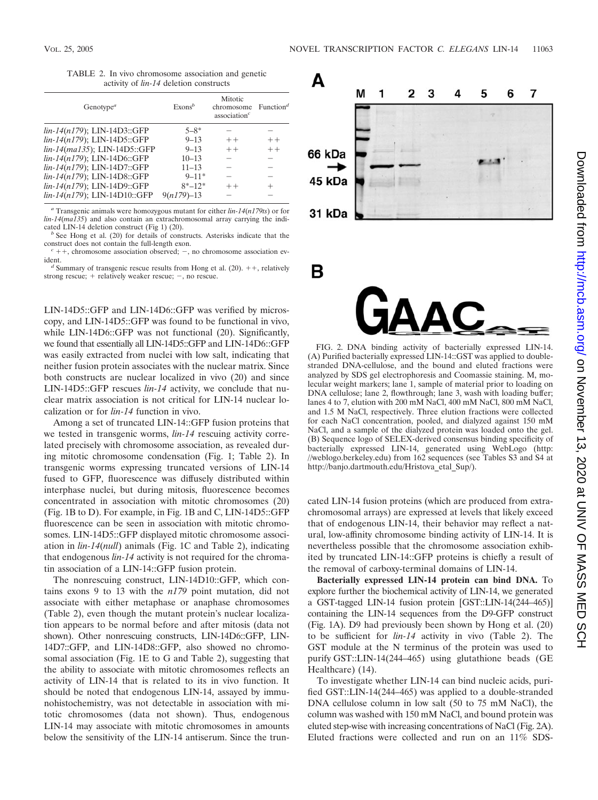TABLE 2. In vivo chromosome association and genetic activity of *lin-14* deletion constructs

| Genotype <sup><math>a</math></sup> | Exons <sup>b</sup> | Mitotic<br>chromosome $Functiond$<br>association <sup>c</sup> |      |
|------------------------------------|--------------------|---------------------------------------------------------------|------|
| $lin-14(n179)$ ; LIN-14D3::GFP     | $5 - 8^*$          |                                                               |      |
| lin-14(n179); LIN-14D5::GFP        | $9 - 13$           | $++$                                                          | $++$ |
| lin-14(ma135); LIN-14D5::GFP       | $9 - 13$           | $++$                                                          | $++$ |
| lin-14(n179); LIN-14D6::GFP        | $10 - 13$          |                                                               |      |
| lin-14(n179); LIN-14D7::GFP        | $11 - 13$          |                                                               |      |
| lin-14(n179); LIN-14D8::GFP        | $9 - 11*$          |                                                               |      |
| lin-14(n179); LIN-14D9::GFP        | $8^* - 12^*$       | $++$                                                          | $^+$ |
| lin-14(n179); LIN-14D10::GFP       | $9(n179) - 13$     |                                                               |      |

*<sup>a</sup>* Transgenic animals were homozygous mutant for either *lin-14*(*n179ts*) or for *lin-14(ma135)* and also contain an extrachromosomal array carrying the indicated LIN-14 deletion construct (Fig 1) (20).

<sup>b</sup> See Hong et al. (20) for details of constructs. Asterisks indicate that the

construct does not contain the full-length exon.<br><sup>*c*</sup> + +, chromosome association observed; -, no chromosome association ev-<br>ident

<sup>d</sup> Summary of transgenic rescue results from Hong et al. (20). ++, relatively strong rescue;  $+$  relatively weaker rescue;  $-$ , no rescue.

LIN-14D5::GFP and LIN-14D6::GFP was verified by microscopy, and LIN-14D5::GFP was found to be functional in vivo, while LIN-14D6::GFP was not functional (20). Significantly, we found that essentially all LIN-14D5::GFP and LIN-14D6::GFP was easily extracted from nuclei with low salt, indicating that neither fusion protein associates with the nuclear matrix. Since both constructs are nuclear localized in vivo (20) and since LIN-14D5::GFP rescues *lin-14* activity, we conclude that nuclear matrix association is not critical for LIN-14 nuclear localization or for *lin-14* function in vivo.

Among a set of truncated LIN-14::GFP fusion proteins that we tested in transgenic worms, *lin-14* rescuing activity correlated precisely with chromosome association, as revealed during mitotic chromosome condensation (Fig. 1; Table 2). In transgenic worms expressing truncated versions of LIN-14 fused to GFP, fluorescence was diffusely distributed within interphase nuclei, but during mitosis, fluorescence becomes concentrated in association with mitotic chromosomes (20) (Fig. 1B to D). For example, in Fig. 1B and C, LIN-14D5::GFP fluorescence can be seen in association with mitotic chromosomes. LIN-14D5::GFP displayed mitotic chromosome association in *lin-14*(*null*) animals (Fig. 1C and Table 2), indicating that endogenous *lin-14* activity is not required for the chromatin association of a LIN-14::GFP fusion protein.

The nonrescuing construct, LIN-14D10::GFP, which contains exons 9 to 13 with the *n179* point mutation, did not associate with either metaphase or anaphase chromosomes (Table 2), even though the mutant protein's nuclear localization appears to be normal before and after mitosis (data not shown). Other nonrescuing constructs, LIN-14D6::GFP, LIN-14D7::GFP, and LIN-14D8::GFP, also showed no chromosomal association (Fig. 1E to G and Table 2), suggesting that the ability to associate with mitotic chromosomes reflects an activity of LIN-14 that is related to its in vivo function. It should be noted that endogenous LIN-14, assayed by immunohistochemistry, was not detectable in association with mitotic chromosomes (data not shown). Thus, endogenous LIN-14 may associate with mitotic chromosomes in amounts below the sensitivity of the LIN-14 antiserum. Since the trun-





В

FIG. 2. DNA binding activity of bacterially expressed LIN-14. (A) Purified bacterially expressed LIN-14::GST was applied to doublestranded DNA-cellulose, and the bound and eluted fractions were analyzed by SDS gel electrophoresis and Coomassie staining. M, molecular weight markers; lane 1, sample of material prior to loading on DNA cellulose; lane 2, flowthrough; lane 3, wash with loading buffer; lanes 4 to 7, elution with 200 mM NaCl, 400 mM NaCl, 800 mM NaCl, and 1.5 M NaCl, respectively. Three elution fractions were collected for each NaCl concentration, pooled, and dialyzed against 150 mM NaCl, and a sample of the dialyzed protein was loaded onto the gel. (B) Sequence logo of SELEX-derived consensus binding specificity of bacterially expressed LIN-14, generated using WebLogo (http: //weblogo.berkeley.edu) from 162 sequences (see Tables S3 and S4 at http://banjo.dartmouth.edu/Hristova\_etal\_Sup/).

cated LIN-14 fusion proteins (which are produced from extrachromosomal arrays) are expressed at levels that likely exceed that of endogenous LIN-14, their behavior may reflect a natural, low-affinity chromosome binding activity of LIN-14. It is nevertheless possible that the chromosome association exhibited by truncated LIN-14::GFP proteins is chiefly a result of the removal of carboxy-terminal domains of LIN-14.

**Bacterially expressed LIN-14 protein can bind DNA.** To explore further the biochemical activity of LIN-14, we generated a GST-tagged LIN-14 fusion protein [GST::LIN-14(244–465)] containing the LIN-14 sequences from the D9-GFP construct (Fig. 1A). D9 had previously been shown by Hong et al. (20) to be sufficient for *lin-14* activity in vivo (Table 2). The GST module at the N terminus of the protein was used to purify GST::LIN-14(244–465) using glutathione beads (GE Healthcare) (14).

To investigate whether LIN-14 can bind nucleic acids, purified GST::LIN-14(244–465) was applied to a double-stranded DNA cellulose column in low salt (50 to 75 mM NaCl), the column was washed with 150 mM NaCl, and bound protein was eluted step-wise with increasing concentrations of NaCl (Fig. 2A). Eluted fractions were collected and run on an 11% SDS-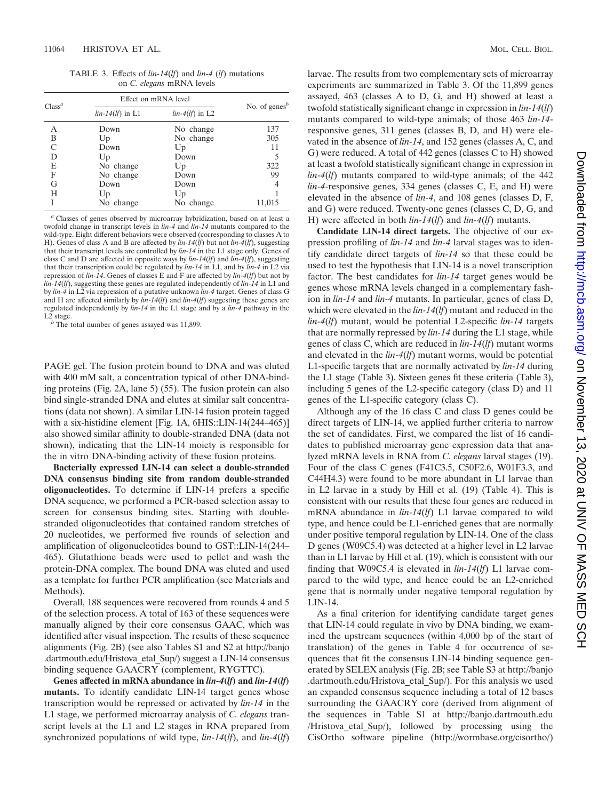TABLE 3. Effects of *lin-14*(*lf*) and *lin-4* (*lf*) mutations on *C. elegans* mRNA levels

| Class <sup>a</sup> |                    | Effect on mRNA level |                                        |  |  |  |
|--------------------|--------------------|----------------------|----------------------------------------|--|--|--|
|                    | $lin-14(lf)$ in L1 | $lin-4(lf)$ in L2    | No. of genes <sup><math>b</math></sup> |  |  |  |
| А                  | Down               | No change            | 137                                    |  |  |  |
| в                  | Up                 | No change            | 305                                    |  |  |  |
|                    | Down               | Up                   | 11                                     |  |  |  |
| D                  | Up                 | Down                 | 5                                      |  |  |  |
| E                  | No change          | Up                   | 322                                    |  |  |  |
| F                  | No change          | Down                 | 99                                     |  |  |  |
| G                  | Down               | Down                 | 4                                      |  |  |  |
| H                  | Up                 | Up                   |                                        |  |  |  |
|                    | No change          | No change            | 11,015                                 |  |  |  |

*<sup>a</sup>* Classes of genes observed by microarray hybridization, based on at least a twofold change in transcript levels in *lin-4* and *lin-14* mutants compared to the wild-type. Eight different behaviors were observed (corresponding to classes A to H). Genes of class A and B are affected by *lin-14*(*lf*) but not *lin-4*(*lf*), suggesting that their transcript levels are controlled by *lin-14* in the L1 stage only. Genes of class C and D are affected in opposite ways by *lin-14*(*lf*) and *lin-4*(*lf*), suggesting that their transcription could be regulated by *lin-14* in L1, and by *lin-4* in L2 via repression of *lin-14*. Genes of classes E and F are affected by *lin-4*(*lf*) but not by *lin-14*(*lf*), suggesting these genes are regulated independently of *lin-14* in L1 and by *lin-4* in L2 via repression of a putative unknown *lin-4* target. Genes of class G and H are affected similarly by *lin-14*(*lf*) and *lin-4*(*lf*) suggesting these genes are regulated independently by *lin-14* in the L1 stage and by a *lin-4* pathway in the

L<sub>2</sub> stage. *b* The total number of genes assayed was 11,899.

PAGE gel. The fusion protein bound to DNA and was eluted with 400 mM salt, a concentration typical of other DNA-binding proteins (Fig. 2A, lane 5) (55). The fusion protein can also bind single-stranded DNA and elutes at similar salt concentrations (data not shown). A similar LIN-14 fusion protein tagged with a six-histidine element [Fig. 1A, 6HIS::LIN-14(244–465)] also showed similar affinity to double-stranded DNA (data not shown), indicating that the LIN-14 moiety is responsible for the in vitro DNA-binding activity of these fusion proteins.

**Bacterially expressed LIN-14 can select a double-stranded DNA consensus binding site from random double-stranded oligonucleotides.** To determine if LIN-14 prefers a specific DNA sequence, we performed a PCR-based selection assay to screen for consensus binding sites. Starting with doublestranded oligonucleotides that contained random stretches of 20 nucleotides, we performed five rounds of selection and amplification of oligonucleotides bound to GST::LIN-14(244– 465). Glutathione beads were used to pellet and wash the protein-DNA complex. The bound DNA was eluted and used as a template for further PCR amplification (see Materials and Methods).

Overall, 188 sequences were recovered from rounds 4 and 5 of the selection process. A total of 163 of these sequences were manually aligned by their core consensus GAAC, which was identified after visual inspection. The results of these sequence alignments (Fig. 2B) (see also Tables S1 and S2 at http://banjo .dartmouth.edu/Hristova\_etal\_Sup/) suggest a LIN-14 consensus binding sequence GAACRY (complement, RYGTTC).

**Genes affected in mRNA abundance in** *lin-4***(***lf***) and** *lin-14***(***lf***) mutants.** To identify candidate LIN-14 target genes whose transcription would be repressed or activated by *lin-14* in the L1 stage, we performed microarray analysis of *C. elegans* transcript levels at the L1 and L2 stages in RNA prepared from synchronized populations of wild type, *lin-14*(*lf*), and *lin-4*(*lf*)

larvae. The results from two complementary sets of microarray experiments are summarized in Table 3. Of the 11,899 genes assayed, 463 (classes A to D, G, and H) showed at least a twofold statistically significant change in expression in *lin-14*(*lf*) mutants compared to wild-type animals; of those 463 *lin-14* responsive genes, 311 genes (classes B, D, and H) were elevated in the absence of *lin-14*, and 152 genes (classes A, C, and G) were reduced. A total of 442 genes (classes C to H) showed at least a twofold statistically significant change in expression in *lin-4*(*lf*) mutants compared to wild-type animals; of the 442 *lin-4*-responsive genes, 334 genes (classes C, E, and H) were elevated in the absence of *lin-4*, and 108 genes (classes D, F, and G) were reduced. Twenty-one genes (classes C, D, G, and H) were affected in both *lin-14*(*lf*) and *lin-4*(*lf*) mutants.

**Candidate LIN-14 direct targets.** The objective of our expression profiling of *lin-14* and *lin-4* larval stages was to identify candidate direct targets of *lin-14* so that these could be used to test the hypothesis that LIN-14 is a novel transcription factor. The best candidates for *lin-14* target genes would be genes whose mRNA levels changed in a complementary fashion in *lin-14* and *lin-4* mutants. In particular, genes of class D, which were elevated in the *lin-14*(*lf*) mutant and reduced in the *lin-4*(*lf*) mutant, would be potential L2-specific *lin-14* targets that are normally repressed by *lin-14* during the L1 stage, while genes of class C, which are reduced in *lin-14*(*lf*) mutant worms and elevated in the *lin-4*(*lf*) mutant worms, would be potential L1-specific targets that are normally activated by *lin-14* during the L1 stage (Table 3). Sixteen genes fit these criteria (Table 3), including 5 genes of the L2-specific category (class D) and 11 genes of the L1-specific category (class C).

Although any of the 16 class C and class D genes could be direct targets of LIN-14, we applied further criteria to narrow the set of candidates. First, we compared the list of 16 candidates to published microarray gene expression data that analyzed mRNA levels in RNA from *C. elegans* larval stages (19). Four of the class C genes (F41C3.5, C50F2.6, W01F3.3, and C44H4.3) were found to be more abundant in L1 larvae than in L2 larvae in a study by Hill et al. (19) (Table 4). This is consistent with our results that these four genes are reduced in mRNA abundance in *lin-14*(*lf*) L1 larvae compared to wild type, and hence could be L1-enriched genes that are normally under positive temporal regulation by LIN-14. One of the class D genes (W09C5.4) was detected at a higher level in L2 larvae than in L1 larvae by Hill et al. (19), which is consistent with our finding that W09C5.4 is elevated in *lin-14*(*lf*) L1 larvae compared to the wild type, and hence could be an L2-enriched gene that is normally under negative temporal regulation by LIN-14.

As a final criterion for identifying candidate target genes that LIN-14 could regulate in vivo by DNA binding, we examined the upstream sequences (within 4,000 bp of the start of translation) of the genes in Table 4 for occurrence of sequences that fit the consensus LIN-14 binding sequence generated by SELEX analysis (Fig. 2B; see Table S3 at http://banjo .dartmouth.edu/Hristova\_etal\_Sup/). For this analysis we used an expanded consensus sequence including a total of 12 bases surrounding the GAACRY core (derived from alignment of the sequences in Table S1 at http://banjo.dartmouth.edu /Hristova\_etal\_Sup/), followed by processing using the CisOrtho software pipeline (http://wormbase.org/cisortho/)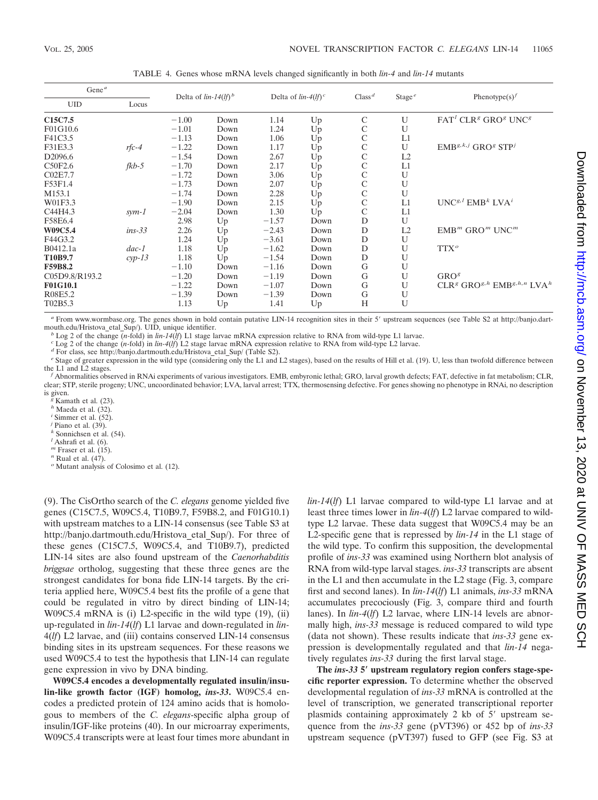TABLE 4. Genes whose mRNA levels changed significantly in both *lin-4* and *lin-14* mutants

| Gene <sup>a</sup>                |          | Delta of $\lim -14(lf)^b$ |      |                                   |      |                                 |           |                                                                           |  |
|----------------------------------|----------|---------------------------|------|-----------------------------------|------|---------------------------------|-----------|---------------------------------------------------------------------------|--|
| <b>UID</b>                       | Locus    |                           |      | Delta of $\lim_{h \to 4} (l f)^c$ |      | Class <sup><math>d</math></sup> | Stage $e$ | Phenotype $(s)$ <sup>f</sup>                                              |  |
| C <sub>15</sub> C <sub>7.5</sub> |          | $-1.00$                   | Down | 1.14                              | Up   | С                               | U         | $FATl CLRg GROg UNCg$                                                     |  |
| F01G10.6                         |          | $-1.01$                   | Down | 1.24                              | Up   | С                               | U         |                                                                           |  |
| F41C3.5                          |          | $-1.13$                   | Down | 1.06                              | Up   | С                               | L1        |                                                                           |  |
| F31E3.3                          | $rfc-4$  | $-1.22$                   | Down | 1.17                              | Up   | С                               | U         | EMB <sup>g,k,j</sup> GRO <sup>g</sup> STP <sup>j</sup>                    |  |
| D <sub>2096.6</sub>              |          | $-1.54$                   | Down | 2.67                              | Up   | С                               | L2        |                                                                           |  |
| C50F2.6                          | $fkb-5$  | $-1.70$                   | Down | 2.17                              | Up   | С                               | L1        |                                                                           |  |
| C02E7.7                          |          | $-1.72$                   | Down | 3.06                              | Up   | С                               | U         |                                                                           |  |
| F53F1.4                          |          | $-1.73$                   | Down | 2.07                              | Up   | С                               | U         |                                                                           |  |
| M153.1                           |          | $-1.74$                   | Down | 2.28                              | Up   | С                               | U         |                                                                           |  |
| W01F3.3                          |          | $-1.90$                   | Down | 2.15                              | Up   | C                               | L1        | $UNC^{g,l}$ EMB <sup>k</sup> LVA <sup>i</sup>                             |  |
| C44H4.3                          | $sym-1$  | $-2.04$                   | Down | 1.30                              | Up   | С                               | L1        |                                                                           |  |
| F58E6.4                          |          | 2.98                      | Up   | $-1.57$                           | Down | D                               | U         |                                                                           |  |
| W09C5.4                          | $ins-33$ | 2.26                      | Up   | $-2.43$                           | Down | D                               | L2        | $EMBm$ GRO $m$ UNC $m$                                                    |  |
| F44G3.2                          |          | 1.24                      | Up   | $-3.61$                           | Down | D                               | U         |                                                                           |  |
| B0412.1a                         | $dac-1$  | 1.18                      | Up   | $-1.62$                           | Down | D                               | U         | TTX <sup>o</sup>                                                          |  |
| T10B9.7                          | $cyp-13$ | 1.18                      | Up   | $-1.54$                           | Down | D                               | U         |                                                                           |  |
| <b>F59B8.2</b>                   |          | $-1.10$                   | Down | $-1.16$                           | Down | G                               | U         |                                                                           |  |
| C05D9.8/R193.2                   |          | $-1.20$                   | Down | $-1.19$                           | Down | G                               | U         | GRO <sup>g</sup>                                                          |  |
| F01G10.1                         |          | $-1.22$                   | Down | $-1.07$                           | Down | G                               | U         | CLR <sup>g</sup> GRO <sup>g,h</sup> EMB <sup>g,h,n</sup> LVA <sup>h</sup> |  |
| R08E5.2                          |          | $-1.39$                   | Down | $-1.39$                           | Down | G                               | U         |                                                                           |  |
| T02B5.3                          |          | 1.13                      | Up   | 1.41                              | Up   | H                               | U         |                                                                           |  |

a From www.wormbase.org. The genes shown in bold contain putative LIN-14 recognition sites in their 5' upstream sequences (see Table S2 at http://banjo.dartmouth.edu/Hristova\_etal\_Sup/). UID, unique identifier.<br><sup>*b*</sup> Log 2 of the change (*n*-fold) in *lin-14(lf)* L1 stage larvae mRNA expression relative to RNA from wild-type L1 larvae.<br><sup>*c*</sup> Log 2 of the change (*n*-fold) in

*<sup>e</sup>* Stage of greater expression in the wild type (considering only the L1 and L2 stages), based on the results of Hill et al. (19). U, less than twofold difference between the L1 and L2 stages. *<sup>f</sup>* Abnormalities observed in RNAi experiments of various investigators. EMB, embyronic lethal; GRO, larval growth defects; FAT, defective in fat metabolism; CLR,

clear; STP, sterile progeny; UNC, uncoordinated behavior; LVA, larval arrest; TTX, thermosensing defective. For genes showing no phenotype in RNAi, no description is given. *<sup>g</sup>* Kamath et al. (23).

*<sup>h</sup>* Maeda et al. (32).

 *Simmer et al.*  $(52)$ *.* 

*j* Piano et al. (39).

*<sup>k</sup>* Sonnichsen et al. (54).

*l* Ashrafi et al. (6).

*<sup>m</sup>* Fraser et al. (15). *<sup>n</sup>* Rual et al. (47).

*<sup>o</sup>* Mutant analysis of Colosimo et al. (12).

(9). The CisOrtho search of the *C. elegans* genome yielded five genes (C15C7.5, W09C5.4, T10B9.7, F59B8.2, and F01G10.1) with upstream matches to a LIN-14 consensus (see Table S3 at http://banjo.dartmouth.edu/Hristova etal Sup/). For three of these genes (C15C7.5, W09C5.4, and T10B9.7), predicted LIN-14 sites are also found upstream of the *Caenorhabditis briggsae* ortholog, suggesting that these three genes are the strongest candidates for bona fide LIN-14 targets. By the criteria applied here, W09C5.4 best fits the profile of a gene that could be regulated in vitro by direct binding of LIN-14; W09C5.4 mRNA is (i) L2-specific in the wild type (19), (ii) up-regulated in *lin-14*(*lf*) L1 larvae and down-regulated in *lin-*4(*lf*) L2 larvae, and (iii) contains conserved LIN-14 consensus binding sites in its upstream sequences. For these reasons we used W09C5.4 to test the hypothesis that LIN-14 can regulate gene expression in vivo by DNA binding.

**W09C5.4 encodes a developmentally regulated insulin/insulin-like growth factor (IGF) homolog,** *ins-33***.** W09C5.4 encodes a predicted protein of 124 amino acids that is homologous to members of the *C. elegans*-specific alpha group of insulin/IGF-like proteins (40). In our microarray experiments, W09C5.4 transcripts were at least four times more abundant in

*lin-14*(*lf*) L1 larvae compared to wild-type L1 larvae and at least three times lower in *lin-4*(*lf*) L2 larvae compared to wildtype L2 larvae. These data suggest that W09C5.4 may be an L2-specific gene that is repressed by *lin-14* in the L1 stage of the wild type. To confirm this supposition, the developmental profile of *ins-33* was examined using Northern blot analysis of RNA from wild-type larval stages. *ins-33* transcripts are absent in the L1 and then accumulate in the L2 stage (Fig. 3, compare first and second lanes). In *lin-14*(*lf*) L1 animals, *ins-33* mRNA accumulates precociously (Fig. 3, compare third and fourth lanes). In *lin-4*(*lf*) L2 larvae, where LIN-14 levels are abnormally high, *ins-33* message is reduced compared to wild type (data not shown). These results indicate that *ins-33* gene expression is developmentally regulated and that *lin-14* negatively regulates *ins-33* during the first larval stage.

**The** *ins-33* **5 upstream regulatory region confers stage-specific reporter expression.** To determine whether the observed developmental regulation of *ins-33* mRNA is controlled at the level of transcription, we generated transcriptional reporter plasmids containing approximately 2 kb of 5' upstream sequence from the *ins-33* gene (pVT396) or 452 bp of *ins-33* upstream sequence (pVT397) fused to GFP (see Fig. S3 at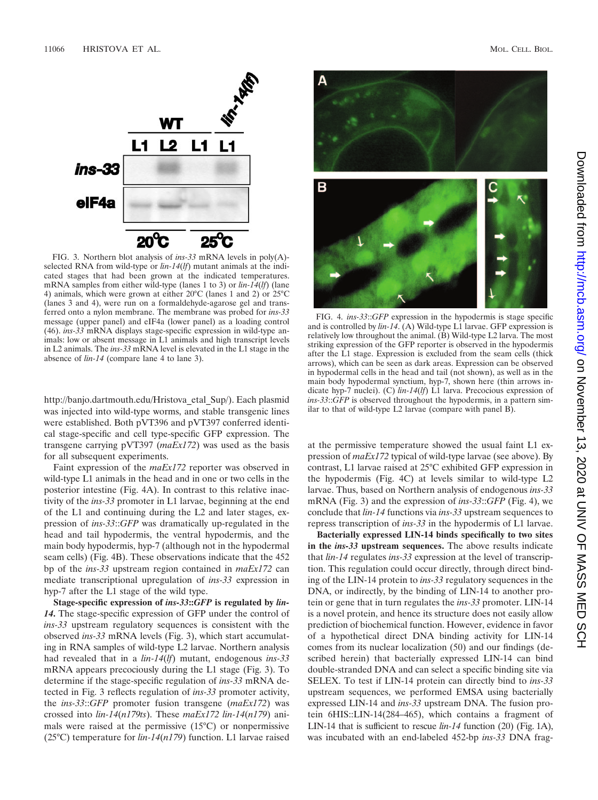

FIG. 3. Northern blot analysis of *ins-33* mRNA levels in poly(A) selected RNA from wild-type or *lin-14*(*lf*) mutant animals at the indicated stages that had been grown at the indicated temperatures. mRNA samples from either wild-type (lanes 1 to 3) or *lin-14*(*lf*) (lane 4) animals, which were grown at either 20°C (lanes 1 and 2) or 25°C (lanes 3 and 4), were run on a formaldehyde-agarose gel and transferred onto a nylon membrane. The membrane was probed for *ins-33* message (upper panel) and eIF4a (lower panel) as a loading control (46). *ins-33* mRNA displays stage-specific expression in wild-type animals: low or absent message in L1 animals and high transcript levels in L2 animals. The *ins-33* mRNA level is elevated in the L1 stage in the absence of *lin-14* (compare lane 4 to lane 3).

http://banjo.dartmouth.edu/Hristova\_etal\_Sup/). Each plasmid was injected into wild-type worms, and stable transgenic lines were established. Both pVT396 and pVT397 conferred identical stage-specific and cell type-specific GFP expression. The transgene carrying pVT397 (*maEx172*) was used as the basis for all subsequent experiments.

Faint expression of the *maEx172* reporter was observed in wild-type L1 animals in the head and in one or two cells in the posterior intestine (Fig. 4A). In contrast to this relative inactivity of the *ins-33* promoter in L1 larvae, beginning at the end of the L1 and continuing during the L2 and later stages, expression of *ins-33*::*GFP* was dramatically up-regulated in the head and tail hypodermis, the ventral hypodermis, and the main body hypodermis, hyp-7 (although not in the hypodermal seam cells) (Fig. 4B). These observations indicate that the 452 bp of the *ins-33* upstream region contained in *maEx172* can mediate transcriptional upregulation of *ins-33* expression in hyp-7 after the L1 stage of the wild type.

**Stage-specific expression of** *ins-33***::***GFP* **is regulated by** *lin-14***.** The stage-specific expression of GFP under the control of *ins-33* upstream regulatory sequences is consistent with the observed *ins-33* mRNA levels (Fig. 3), which start accumulating in RNA samples of wild-type L2 larvae. Northern analysis had revealed that in a *lin-14*(*lf*) mutant, endogenous *ins-33* mRNA appears precociously during the L1 stage (Fig. 3). To determine if the stage-specific regulation of *ins-33* mRNA detected in Fig. 3 reflects regulation of *ins-33* promoter activity, the *ins-33*::*GFP* promoter fusion transgene (*maEx172*) was crossed into *lin-14*(*n179ts*). These *maEx172 lin-14*(*n179*) animals were raised at the permissive (15°C) or nonpermissive (25°C) temperature for *lin-14*(*n179*) function. L1 larvae raised



FIG. 4. *ins-33*::*GFP* expression in the hypodermis is stage specific and is controlled by *lin-14*. (A) Wild-type L1 larvae. GFP expression is relatively low throughout the animal. (B) Wild-type L2 larva. The most striking expression of the GFP reporter is observed in the hypodermis after the L1 stage. Expression is excluded from the seam cells (thick arrows), which can be seen as dark areas. Expression can be observed in hypodermal cells in the head and tail (not shown), as well as in the main body hypodermal synctium, hyp-7, shown here (thin arrows indicate hyp-7 nuclei). (C) *lin-14*(*lf*) L1 larva. Precocious expression of *ins-33*::*GFP* is observed throughout the hypodermis, in a pattern similar to that of wild-type L2 larvae (compare with panel B).

at the permissive temperature showed the usual faint L1 expression of *maEx172* typical of wild-type larvae (see above). By contrast, L1 larvae raised at 25°C exhibited GFP expression in the hypodermis (Fig. 4C) at levels similar to wild-type L2 larvae. Thus, based on Northern analysis of endogenous *ins-33* mRNA (Fig. 3) and the expression of *ins-33*::*GFP* (Fig. 4), we conclude that *lin-14* functions via *ins-33* upstream sequences to repress transcription of *ins-33* in the hypodermis of L1 larvae.

**Bacterially expressed LIN-14 binds specifically to two sites in the** *ins-33* **upstream sequences.** The above results indicate that *lin-14* regulates *ins-33* expression at the level of transcription. This regulation could occur directly, through direct binding of the LIN-14 protein to *ins-33* regulatory sequences in the DNA, or indirectly, by the binding of LIN-14 to another protein or gene that in turn regulates the *ins-33* promoter. LIN-14 is a novel protein, and hence its structure does not easily allow prediction of biochemical function. However, evidence in favor of a hypothetical direct DNA binding activity for LIN-14 comes from its nuclear localization (50) and our findings (described herein) that bacterially expressed LIN-14 can bind double-stranded DNA and can select a specific binding site via SELEX. To test if LIN-14 protein can directly bind to *ins-33* upstream sequences, we performed EMSA using bacterially expressed LIN-14 and *ins-33* upstream DNA. The fusion protein 6HIS::LIN-14(284–465), which contains a fragment of LIN-14 that is sufficient to rescue *lin-14* function (20) (Fig. 1A), was incubated with an end-labeled 452-bp *ins-33* DNA frag-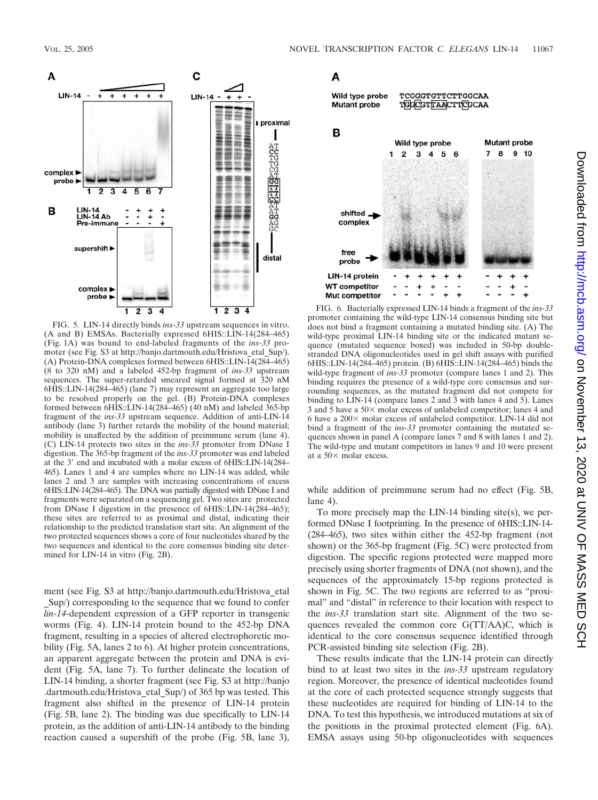

FIG. 5. LIN-14 directly binds *ins-33* upstream sequences in vitro. (A and B) EMSAs. Bacterially expressed 6HIS::LIN-14(284–465) (Fig. 1A) was bound to end-labeled fragments of the *ins-33* promoter (see Fig. S3 at http://banjo.dartmouth.edu/Hristova\_etal\_Sup/). (A) Protein-DNA complexes formed between 6HIS::LIN-14(284–465) (8 to 320 nM) and a labeled 452-bp fragment of *ins-33* upstream sequences. The super-retarded smeared signal formed at 320 nM 6HIS::LIN-14(284–465) (lane 7) may represent an aggregate too large to be resolved properly on the gel. (B) Protein-DNA complexes formed between 6HIS::LIN-14(284–465) (40 nM) and labeled 365-bp fragment of the *ins-33* upstream sequence. Addition of anti-LIN-14 antibody (lane 3) further retards the mobility of the bound material; mobility is unaffected by the addition of preimmune serum (lane 4). (C) LIN-14 protects two sites in the *ins-33* promoter from DNase I digestion. The 365-bp fragment of the *ins-33* promoter was end labeled at the 3' end and incubated with a molar excess of 6HIS::LIN-14(284– 465). Lanes 1 and 4 are samples where no LIN-14 was added, while lanes 2 and 3 are samples with increasing concentrations of excess 6HIS::LIN-14(284–465). The DNA was partially digested with DNase I and fragments were separated on a sequencing gel. Two sites are protected from DNase I digestion in the presence of 6HIS::LIN-14(284–465); these sites are referred to as proximal and distal, indicating their relationship to the predicted translation start site. An alignment of the two protected sequences shows a core of four nucleotides shared by the two sequences and identical to the core consensus binding site determined for LIN-14 in vitro (Fig. 2B).

ment (see Fig. S3 at http://banjo.dartmouth.edu/Hristova\_etal \_Sup/) corresponding to the sequence that we found to confer *lin-14*-dependent expression of a GFP reporter in transgenic worms (Fig. 4). LIN-14 protein bound to the 452-bp DNA fragment, resulting in a species of altered electrophoretic mobility (Fig. 5A, lanes 2 to 6). At higher protein concentrations, an apparent aggregate between the protein and DNA is evident (Fig. 5A, lane 7). To further delineate the location of LIN-14 binding, a shorter fragment (see Fig. S3 at http://banjo .dartmouth.edu/Hristova\_etal\_Sup/) of 365 bp was tested. This fragment also shifted in the presence of LIN-14 protein (Fig. 5B, lane 2). The binding was due specifically to LIN-14 protein, as the addition of anti-LIN-14 antibody to the binding reaction caused a supershift of the probe (Fig. 5B, lane 3),



Wild type probe **Mutant probe** 

TCGGGTGTTCTTGGCAA TGGCGTTAACTTCGCAA



FIG. 6. Bacterially expressed LIN-14 binds a fragment of the *ins-33* promoter containing the wild-type LIN-14 consensus binding site but does not bind a fragment containing a mutated binding site. (A) The wild-type proximal LIN-14 binding site or the indicated mutant sequence (mutated sequence boxed) was included in 50-bp doublestranded DNA oligonucleotides used in gel shift assays with purified 6HIS::LIN-14(284–465) protein. (B) 6HIS::LIN-14(284–465) binds the wild-type fragment of *ins-33* promoter (compare lanes 1 and 2). This binding requires the presence of a wild-type core consensus and surrounding sequences, as the mutated fragment did not compete for binding to LIN-14 (compare lanes 2 and 3 with lanes 4 and 5). Lanes 3 and 5 have a  $50\times$  molar excess of unlabeled competitor; lanes 4 and 6 have a  $200 \times$  molar excess of unlabeled competitor. LIN-14 did not bind a fragment of the *ins-33* promoter containing the mutated sequences shown in panel A (compare lanes 7 and 8 with lanes 1 and 2). The wild-type and mutant competitors in lanes 9 and 10 were present at a  $50\times$  molar excess.

while addition of preimmune serum had no effect (Fig. 5B, lane 4).

To more precisely map the LIN-14 binding site(s), we performed DNase I footprinting. In the presence of 6HIS::LIN-14- (284–465), two sites within either the 452-bp fragment (not shown) or the 365-bp fragment (Fig. 5C) were protected from digestion. The specific regions protected were mapped more precisely using shorter fragments of DNA (not shown), and the sequences of the approximately 15-bp regions protected is shown in Fig. 5C. The two regions are referred to as "proximal" and "distal" in reference to their location with respect to the *ins-33* translation start site. Alignment of the two sequences revealed the common core G(TT/AA)C, which is identical to the core consensus sequence identified through PCR-assisted binding site selection (Fig. 2B).

These results indicate that the LIN-14 protein can directly bind to at least two sites in the *ins-33* upstream regulatory region. Moreover, the presence of identical nucleotides found at the core of each protected sequence strongly suggests that these nucleotides are required for binding of LIN-14 to the DNA. To test this hypothesis, we introduced mutations at six of the positions in the proximal protected element (Fig. 6A). EMSA assays using 50-bp oligonucleotides with sequences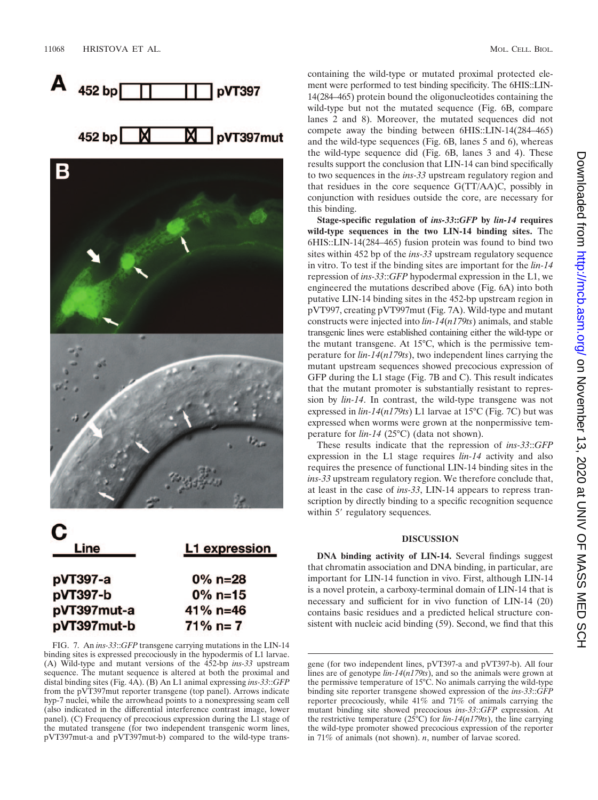



| Line        | <b>L1 expression</b> |  |  |  |
|-------------|----------------------|--|--|--|
| pVT397-a    | $0\%$ n=28           |  |  |  |
| pVT397-b    | $0\%$ n=15           |  |  |  |
| pVT397mut-a | $41\%$ n=46          |  |  |  |
| pVT397mut-b | $71\%$ n= 7          |  |  |  |
|             |                      |  |  |  |

FIG. 7. An *ins-33*::*GFP* transgene carrying mutations in the LIN-14 binding sites is expressed precociously in the hypodermis of L1 larvae. (A) Wild-type and mutant versions of the 452-bp *ins-33* upstream sequence. The mutant sequence is altered at both the proximal and distal binding sites (Fig. 4A). (B) An L1 animal expressing *ins-33*::*GFP* from the pVT397mut reporter transgene (top panel). Arrows indicate hyp-7 nuclei, while the arrowhead points to a nonexpressing seam cell (also indicated in the differential interference contrast image, lower panel). (C) Frequency of precocious expression during the L1 stage of the mutated transgene (for two independent transgenic worm lines, pVT397mut-a and pVT397mut-b) compared to the wild-type trans-

containing the wild-type or mutated proximal protected element were performed to test binding specificity. The 6HIS::LIN-14(284–465) protein bound the oligonucleotides containing the wild-type but not the mutated sequence (Fig. 6B, compare lanes 2 and 8). Moreover, the mutated sequences did not compete away the binding between 6HIS::LIN-14(284–465) and the wild-type sequences (Fig. 6B, lanes 5 and 6), whereas the wild-type sequence did (Fig. 6B, lanes 3 and 4). These results support the conclusion that LIN-14 can bind specifically to two sequences in the *ins-33* upstream regulatory region and that residues in the core sequence G(TT/AA)C, possibly in conjunction with residues outside the core, are necessary for this binding.

**Stage-specific regulation of** *ins-33***::***GFP* **by** *lin-14* **requires wild-type sequences in the two LIN-14 binding sites.** The 6HIS::LIN-14(284–465) fusion protein was found to bind two sites within 452 bp of the *ins-33* upstream regulatory sequence in vitro. To test if the binding sites are important for the *lin-14* repression of *ins-33*::*GFP* hypodermal expression in the L1, we engineered the mutations described above (Fig. 6A) into both putative LIN-14 binding sites in the 452-bp upstream region in pVT997, creating pVT997mut (Fig. 7A). Wild-type and mutant constructs were injected into *lin-14*(*n179ts*) animals, and stable transgenic lines were established containing either the wild-type or the mutant transgene. At 15°C, which is the permissive temperature for *lin-14*(*n179ts*), two independent lines carrying the mutant upstream sequences showed precocious expression of GFP during the L1 stage (Fig. 7B and C). This result indicates that the mutant promoter is substantially resistant to repression by *lin-14*. In contrast, the wild-type transgene was not expressed in *lin-14*(*n179ts*) L1 larvae at 15°C (Fig. 7C) but was expressed when worms were grown at the nonpermissive temperature for *lin-14* (25°C) (data not shown).

These results indicate that the repression of *ins-33*::*GFP* expression in the L1 stage requires *lin-14* activity and also requires the presence of functional LIN-14 binding sites in the *ins-33* upstream regulatory region. We therefore conclude that, at least in the case of *ins-33*, LIN-14 appears to repress transcription by directly binding to a specific recognition sequence within 5' regulatory sequences.

## **DISCUSSION**

**DNA binding activity of LIN-14.** Several findings suggest that chromatin association and DNA binding, in particular, are important for LIN-14 function in vivo. First, although LIN-14 is a novel protein, a carboxy-terminal domain of LIN-14 that is necessary and sufficient for in vivo function of LIN-14 (20) contains basic residues and a predicted helical structure consistent with nucleic acid binding (59). Second, we find that this

gene (for two independent lines, pVT397-a and pVT397-b). All four lines are of genotype *lin-14*(*n179ts*), and so the animals were grown at the permissive temperature of 15°C. No animals carrying the wild-type binding site reporter transgene showed expression of the *ins-33*::*GFP* reporter precociously, while 41% and 71% of animals carrying the mutant binding site showed precocious *ins-33*::*GFP* expression. At the restrictive temperature (25°C) for *lin-14*(*n179ts*), the line carrying the wild-type promoter showed precocious expression of the reporter in 71% of animals (not shown). *n*, number of larvae scored.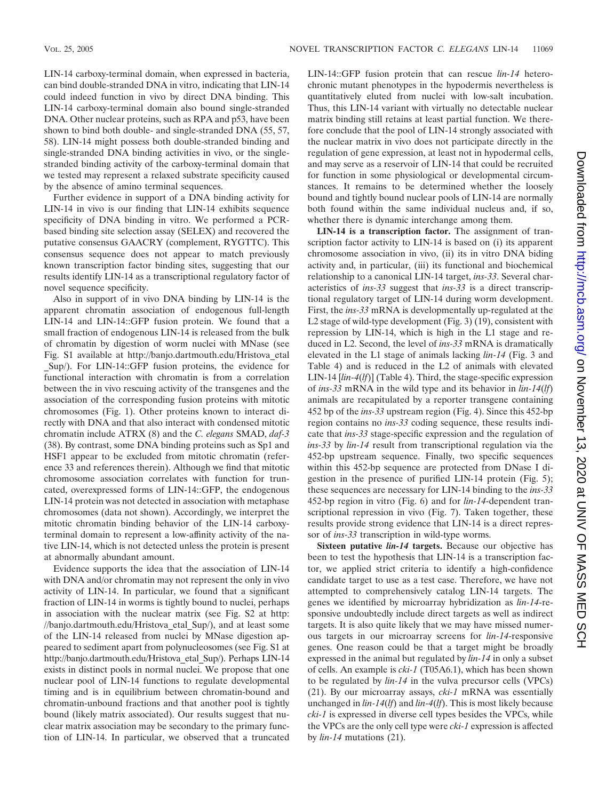LIN-14 carboxy-terminal domain, when expressed in bacteria, can bind double-stranded DNA in vitro, indicating that LIN-14 could indeed function in vivo by direct DNA binding. This LIN-14 carboxy-terminal domain also bound single-stranded DNA. Other nuclear proteins, such as RPA and p53, have been shown to bind both double- and single-stranded DNA (55, 57, 58). LIN-14 might possess both double-stranded binding and single-stranded DNA binding activities in vivo, or the singlestranded binding activity of the carboxy-terminal domain that we tested may represent a relaxed substrate specificity caused by the absence of amino terminal sequences.

Further evidence in support of a DNA binding activity for LIN-14 in vivo is our finding that LIN-14 exhibits sequence specificity of DNA binding in vitro. We performed a PCRbased binding site selection assay (SELEX) and recovered the putative consensus GAACRY (complement, RYGTTC). This consensus sequence does not appear to match previously known transcription factor binding sites, suggesting that our results identify LIN-14 as a transcriptional regulatory factor of novel sequence specificity.

Also in support of in vivo DNA binding by LIN-14 is the apparent chromatin association of endogenous full-length LIN-14 and LIN-14::GFP fusion protein. We found that a small fraction of endogenous LIN-14 is released from the bulk of chromatin by digestion of worm nuclei with MNase (see Fig. S1 available at http://banjo.dartmouth.edu/Hristova\_etal \_Sup/). For LIN-14::GFP fusion proteins, the evidence for functional interaction with chromatin is from a correlation between the in vivo rescuing activity of the transgenes and the association of the corresponding fusion proteins with mitotic chromosomes (Fig. 1). Other proteins known to interact directly with DNA and that also interact with condensed mitotic chromatin include ATRX (8) and the *C. elegans* SMAD, *daf-3* (38). By contrast, some DNA binding proteins such as Sp1 and HSF1 appear to be excluded from mitotic chromatin (reference 33 and references therein). Although we find that mitotic chromosome association correlates with function for truncated, overexpressed forms of LIN-14::GFP, the endogenous LIN-14 protein was not detected in association with metaphase chromosomes (data not shown). Accordingly, we interpret the mitotic chromatin binding behavior of the LIN-14 carboxyterminal domain to represent a low-affinity activity of the native LIN-14, which is not detected unless the protein is present at abnormally abundant amount.

Evidence supports the idea that the association of LIN-14 with DNA and/or chromatin may not represent the only in vivo activity of LIN-14. In particular, we found that a significant fraction of LIN-14 in worms is tightly bound to nuclei, perhaps in association with the nuclear matrix (see Fig. S2 at http: //banjo.dartmouth.edu/Hristova\_etal\_Sup/), and at least some of the LIN-14 released from nuclei by MNase digestion appeared to sediment apart from polynucleosomes (see Fig. S1 at http://banjo.dartmouth.edu/Hristova\_etal\_Sup/). Perhaps LIN-14 exists in distinct pools in normal nuclei. We propose that one nuclear pool of LIN-14 functions to regulate developmental timing and is in equilibrium between chromatin-bound and chromatin-unbound fractions and that another pool is tightly bound (likely matrix associated). Our results suggest that nuclear matrix association may be secondary to the primary function of LIN-14. In particular, we observed that a truncated

LIN-14::GFP fusion protein that can rescue *lin-14* heterochronic mutant phenotypes in the hypodermis nevertheless is quantitatively eluted from nuclei with low-salt incubation. Thus, this LIN-14 variant with virtually no detectable nuclear matrix binding still retains at least partial function. We therefore conclude that the pool of LIN-14 strongly associated with the nuclear matrix in vivo does not participate directly in the regulation of gene expression, at least not in hypodermal cells, and may serve as a reservoir of LIN-14 that could be recruited for function in some physiological or developmental circumstances. It remains to be determined whether the loosely bound and tightly bound nuclear pools of LIN-14 are normally both found within the same individual nucleus and, if so, whether there is dynamic interchange among them.

**LIN-14 is a transcription factor.** The assignment of transcription factor activity to LIN-14 is based on (i) its apparent chromosome association in vivo, (ii) its in vitro DNA biding activity and, in particular, (iii) its functional and biochemical relationship to a canonical LIN-14 target, *ins-33*. Several characteristics of *ins-33* suggest that *ins-33* is a direct transcriptional regulatory target of LIN-14 during worm development. First, the *ins-33* mRNA is developmentally up-regulated at the L2 stage of wild-type development (Fig. 3) (19), consistent with repression by LIN-14, which is high in the L1 stage and reduced in L2. Second, the level of *ins-33* mRNA is dramatically elevated in the L1 stage of animals lacking *lin-14* (Fig. 3 and Table 4) and is reduced in the L2 of animals with elevated LIN-14 [*lin-4*(*lf*)] (Table 4). Third, the stage-specific expression of *ins-33* mRNA in the wild type and its behavior in *lin-14*(*lf*) animals are recapitulated by a reporter transgene containing 452 bp of the *ins-33* upstream region (Fig. 4). Since this 452-bp region contains no *ins-33* coding sequence, these results indicate that *ins-33* stage-specific expression and the regulation of *ins-33* by *lin-14* result from transcriptional regulation via the 452-bp upstream sequence. Finally, two specific sequences within this 452-bp sequence are protected from DNase I digestion in the presence of purified LIN-14 protein (Fig. 5); these sequences are necessary for LIN-14 binding to the *ins-33* 452-bp region in vitro (Fig. 6) and for *lin-14*-dependent transcriptional repression in vivo (Fig. 7). Taken together, these results provide strong evidence that LIN-14 is a direct repressor of *ins-33* transcription in wild-type worms.

**Sixteen putative** *lin-14* **targets.** Because our objective has been to test the hypothesis that LIN-14 is a transcription factor, we applied strict criteria to identify a high-confidence candidate target to use as a test case. Therefore, we have not attempted to comprehensively catalog LIN-14 targets. The genes we identified by microarray hybridization as *lin-14*-responsive undoubtedly include direct targets as well as indirect targets. It is also quite likely that we may have missed numerous targets in our microarray screens for *lin-14*-responsive genes. One reason could be that a target might be broadly expressed in the animal but regulated by *lin-14* in only a subset of cells. An example is *cki-1* (T05A6.1), which has been shown to be regulated by *lin-14* in the vulva precursor cells (VPCs) (21). By our microarray assays, *cki-1* mRNA was essentially unchanged in *lin-14*(*lf*) and *lin-4*(*lf*). This is most likely because *cki-1* is expressed in diverse cell types besides the VPCs, while the VPCs are the only cell type were *cki-1* expression is affected by *lin-14* mutations (21).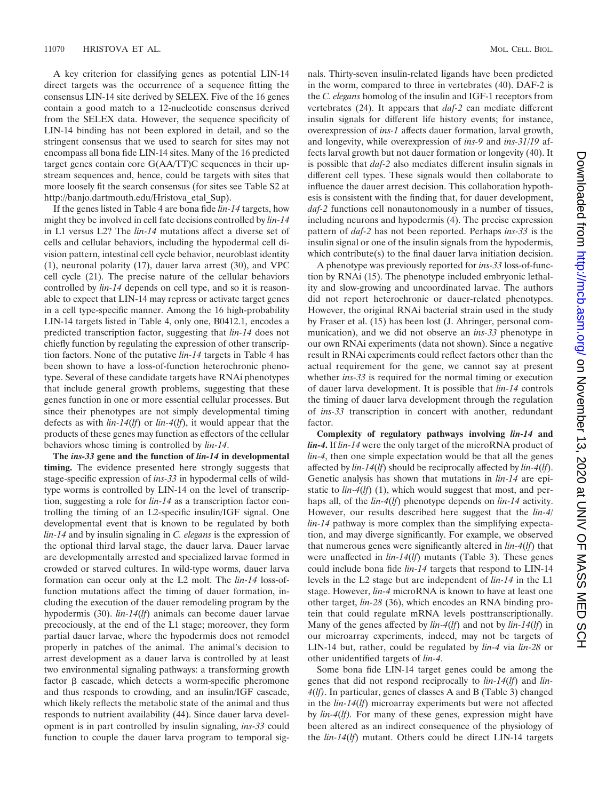A key criterion for classifying genes as potential LIN-14 direct targets was the occurrence of a sequence fitting the consensus LIN-14 site derived by SELEX. Five of the 16 genes contain a good match to a 12-nucleotide consensus derived from the SELEX data. However, the sequence specificity of LIN-14 binding has not been explored in detail, and so the stringent consensus that we used to search for sites may not encompass all bona fide LIN-14 sites. Many of the 16 predicted target genes contain core G(AA/TT)C sequences in their upstream sequences and, hence, could be targets with sites that more loosely fit the search consensus (for sites see Table S2 at http://banjo.dartmouth.edu/Hristova\_etal\_Sup).

If the genes listed in Table 4 are bona fide *lin-14* targets, how might they be involved in cell fate decisions controlled by *lin-14* in L1 versus L2? The *lin-14* mutations affect a diverse set of cells and cellular behaviors, including the hypodermal cell division pattern, intestinal cell cycle behavior, neuroblast identity (1), neuronal polarity (17), dauer larva arrest (30), and VPC cell cycle (21). The precise nature of the cellular behaviors controlled by *lin-14* depends on cell type, and so it is reasonable to expect that LIN-14 may repress or activate target genes in a cell type-specific manner. Among the 16 high-probability LIN-14 targets listed in Table 4, only one, B0412.1, encodes a predicted transcription factor, suggesting that *lin-14* does not chiefly function by regulating the expression of other transcription factors. None of the putative *lin-14* targets in Table 4 has been shown to have a loss-of-function heterochronic phenotype. Several of these candidate targets have RNAi phenotypes that include general growth problems, suggesting that these genes function in one or more essential cellular processes. But since their phenotypes are not simply developmental timing defects as with *lin-14*(*lf*) or *lin-4*(*lf*), it would appear that the products of these genes may function as effectors of the cellular behaviors whose timing is controlled by *lin-14*.

**The** *ins-33* **gene and the function of** *lin-14* **in developmental timing.** The evidence presented here strongly suggests that stage-specific expression of *ins-33* in hypodermal cells of wildtype worms is controlled by LIN-14 on the level of transcription, suggesting a role for *lin-14* as a transcription factor controlling the timing of an L2-specific insulin/IGF signal. One developmental event that is known to be regulated by both *lin-14* and by insulin signaling in *C. elegans* is the expression of the optional third larval stage, the dauer larva. Dauer larvae are developmentally arrested and specialized larvae formed in crowded or starved cultures. In wild-type worms, dauer larva formation can occur only at the L2 molt. The *lin-14* loss-offunction mutations affect the timing of dauer formation, including the execution of the dauer remodeling program by the hypodermis (30). *lin-14*(*lf*) animals can become dauer larvae precociously, at the end of the L1 stage; moreover, they form partial dauer larvae, where the hypodermis does not remodel properly in patches of the animal. The animal's decision to arrest development as a dauer larva is controlled by at least two environmental signaling pathways: a transforming growth factor  $\beta$  cascade, which detects a worm-specific pheromone and thus responds to crowding, and an insulin/IGF cascade, which likely reflects the metabolic state of the animal and thus responds to nutrient availability (44). Since dauer larva development is in part controlled by insulin signaling, *ins-33* could function to couple the dauer larva program to temporal signals. Thirty-seven insulin-related ligands have been predicted in the worm, compared to three in vertebrates (40). DAF-2 is the *C. elegans* homolog of the insulin and IGF-1 receptors from vertebrates (24). It appears that *daf-2* can mediate different insulin signals for different life history events; for instance, overexpression of *ins-1* affects dauer formation, larval growth, and longevity, while overexpression of *ins-9* and *ins-31/19* affects larval growth but not dauer formation or longevity (40). It is possible that *daf-2* also mediates different insulin signals in different cell types. These signals would then collaborate to influence the dauer arrest decision. This collaboration hypothesis is consistent with the finding that, for dauer development, *daf-2* functions cell nonautonomously in a number of tissues, including neurons and hypodermis (4). The precise expression pattern of *daf-2* has not been reported. Perhaps *ins-33* is the insulin signal or one of the insulin signals from the hypodermis, which contribute(s) to the final dauer larva initiation decision.

A phenotype was previously reported for *ins-33* loss-of-function by RNAi (15). The phenotype included embryonic lethality and slow-growing and uncoordinated larvae. The authors did not report heterochronic or dauer-related phenotypes. However, the original RNAi bacterial strain used in the study by Fraser et al. (15) has been lost (J. Ahringer, personal communication), and we did not observe an *ins-33* phenotype in our own RNAi experiments (data not shown). Since a negative result in RNAi experiments could reflect factors other than the actual requirement for the gene, we cannot say at present whether *ins-33* is required for the normal timing or execution of dauer larva development. It is possible that *lin-14* controls the timing of dauer larva development through the regulation of *ins-33* transcription in concert with another, redundant factor.

**Complexity of regulatory pathways involving** *lin-14* **and** *lin-4***.** If *lin-14* were the only target of the microRNA product of *lin-4*, then one simple expectation would be that all the genes affected by *lin-14*(*lf*) should be reciprocally affected by *lin-4*(*lf*). Genetic analysis has shown that mutations in *lin-14* are epistatic to *lin-4*(*lf*) (1), which would suggest that most, and perhaps all, of the *lin-4*(*lf*) phenotype depends on *lin-14* activity. However, our results described here suggest that the *lin-4*/ *lin-14* pathway is more complex than the simplifying expectation, and may diverge significantly. For example, we observed that numerous genes were significantly altered in *lin-4*(*lf*) that were unaffected in *lin-14*(*lf*) mutants (Table 3). These genes could include bona fide *lin-14* targets that respond to LIN-14 levels in the L2 stage but are independent of *lin-14* in the L1 stage. However, *lin-4* microRNA is known to have at least one other target, *lin-28* (36), which encodes an RNA binding protein that could regulate mRNA levels posttranscriptionally. Many of the genes affected by *lin-4*(*lf*) and not by *lin-14*(*lf*) in our microarray experiments, indeed, may not be targets of LIN-14 but, rather, could be regulated by *lin-4* via *lin-28* or other unidentified targets of *lin-4*.

Some bona fide LIN-14 target genes could be among the genes that did not respond reciprocally to *lin-14*(*lf*) and *lin-4*(*lf)*. In particular, genes of classes A and B (Table 3) changed in the *lin-14*(*lf*) microarray experiments but were not affected by *lin-4*(*lf).* For many of these genes, expression might have been altered as an indirect consequence of the physiology of the *lin-14*(*lf*) mutant. Others could be direct LIN-14 targets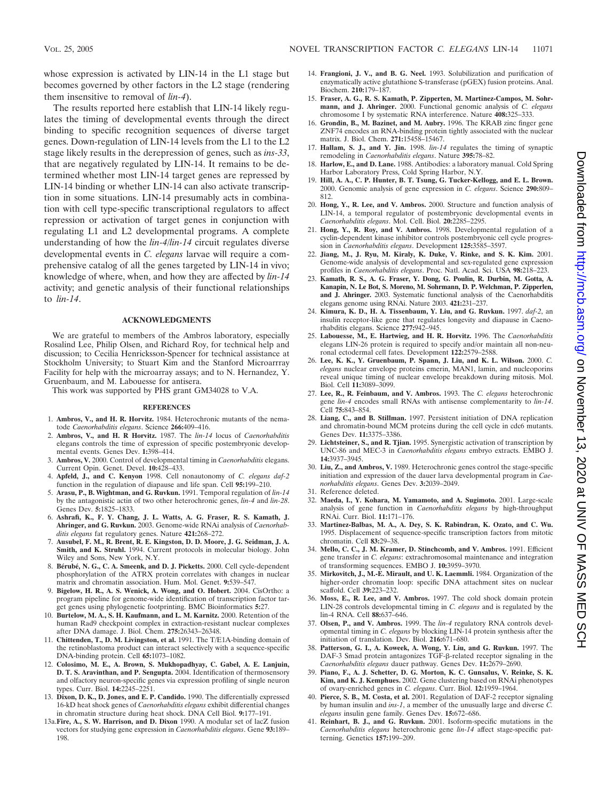whose expression is activated by LIN-14 in the L1 stage but becomes governed by other factors in the L2 stage (rendering them insensitive to removal of *lin-4*).

The results reported here establish that LIN-14 likely regulates the timing of developmental events through the direct binding to specific recognition sequences of diverse target genes. Down-regulation of LIN-14 levels from the L1 to the L2 stage likely results in the derepression of genes, such as *ins-33*, that are negatively regulated by LIN-14. It remains to be determined whether most LIN-14 target genes are repressed by LIN-14 binding or whether LIN-14 can also activate transcription in some situations. LIN-14 presumably acts in combination with cell type-specific transcriptional regulators to affect repression or activation of target genes in conjunction with regulating L1 and L2 developmental programs. A complete understanding of how the *lin-4/lin-14* circuit regulates diverse developmental events in *C. elegans* larvae will require a comprehensive catalog of all the genes targeted by LIN-14 in vivo; knowledge of where, when, and how they are affected by *lin-14* activity; and genetic analysis of their functional relationships to *lin-14*.

## **ACKNOWLEDGMENTS**

We are grateful to members of the Ambros laboratory, especially Rosalind Lee, Philip Olsen, and Richard Roy, for technical help and discussion; to Cecilia Henricksson-Spencer for technical assistance at Stockholm University; to Stuart Kim and the Stanford Microarrray Facility for help with the microarray assays; and to N. Hernandez, Y. Gruenbaum, and M. Labouesse for antisera.

This work was supported by PHS grant GM34028 to V.A.

#### **REFERENCES**

- 1. **Ambros, V., and H. R. Horvitz.** 1984. Heterochronic mutants of the nematode *Caenorhabditis elegans*. Science **266:**409–416.
- 2. **Ambros, V., and H. R Horvitz.** 1987. The *lin-14* locus of *Caenorhabditis* elegans controls the time of expression of specific postembryonic developmental events. Genes Dev. **1:**398–414.
- 3. **Ambros, V.** 2000. Control of developmental timing in *Caenorhabditis* elegans. Current Opin. Genet. Devel. **10:**428–433.
- 4. **Apfeld, J., and C. Kenyon** 1998. Cell nonautonomy of *C. elegans daf-2* function in the regulation of diapause and life span. Cell **95:**199–210.
- 5. **Arasu, P., B. Wightman, and G. Ruvkun.** 1991. Temporal regulation of *lin-14* by the antagonistic actin of two other heterochronic genes, *lin-4* and *lin-28*. Genes Dev. **5:**1825–1833.
- 6. **Ashrafi, K., F. Y. Chang, J. L. Watts, A. G. Fraser, R. S. Kamath, J. Ahringer, and G. Ruvkun.** 2003. Genome-wide RNAi analysis of *Caenorhabditis elegans* fat regulatory genes. Nature **421:**268–272.
- 7. **Ausubel, F. M., R. Brent, R. E. Kingston, D. D. Moore, J. G. Seidman, J. A. Smith, and K. Struhl.** 1994. Current protocols in molecular biology. John Wiley and Sons, New York, N.Y.
- 8. **Be´rube´, N. G., C. A. Smeenk, and D. J. Picketts.** 2000. Cell cycle-dependent phosphorylation of the ATRX protein correlates with changes in nuclear matrix and chromatin association. Hum. Mol. Genet. **9:**539–547.
- 9. **Bigelow, H. R., A. S. Wenick, A. Wong, and O. Hobert.** 2004. CisOrtho: a program pipeline for genome-wide identification of transcription factor target genes using phylogenetic footprinting. BMC Bioinformatics **5:**27.
- 10. **Burtelow, M. A., S. H. Kaufmann, and L. M. Karnitz.** 2000. Retention of the human Rad9 checkpoint complex in extraction-resistant nuclear complexes after DNA damage. J. Biol. Chem. **275:**26343–26348.
- 11. **Chittenden, T., D. M. Livingston, et al.** 1991. The T/E1A-binding domain of the retinoblastoma product can interact selectively with a sequence-specific DNA-binding protein. Cell **65:**1073–1082.
- 12. **Colosimo, M. E., A. Brown, S. Mukhopadhyay, C. Gabel, A. E. Lanjuin, D. T. S. Aravinthan, and P. Sengupta.** 2004. Identification of thermosensory and olfactory neuron-specific genes via expression profiling of single neuron types. Curr. Biol. **14:**2245–2251.
- 13. **Dixon, D. K., D. Jones, and E. P. Candido.** 1990. The differentially expressed 16-kD heat shock genes of *Caenorhabditis elegans* exhibit differential changes in chromatin structure during heat shock. DNA Cell Biol. **9:**177–191.
- 13a.**Fire, A., S. W. Harrison, and D. Dixon** 1990. A modular set of lacZ fusion vectors for studying gene expression in *Caenorhabditis elegans*. Gene **93:**189– 198.
- 14. **Frangioni, J. V., and B. G. Neel.** 1993. Solubilization and purification of enzymatically active glutathione S-transferase (pGEX) fusion proteins. Anal. Biochem. **210:**179–187.
- 15. **Fraser, A. G., R. S. Kamath, P. Zipperten, M. Martinez-Campos, M. Sohrmann, and J. Ahringer.** 2000. Functional genomic analysis of *C. elegans* chromosome I by systematic RNA interference. Nature **408:**325–333.
- 16. **Grondin, B., M. Bazinet, and M. Aubry.** 1996. The KRAB zinc finger gene ZNF74 encodes an RNA-binding protein tightly associated with the nuclear matrix. J. Biol. Chem. **271:**15458–15467.
- 17. **Hallam, S. J., and Y. Jin.** 1998. *lin-14* regulates the timing of synaptic remodeling in *Caenorhabditis elegans*. Nature **395:**78–82.
- 18. **Harlow, E., and D. Lane.** 1988. Antibodies: a laboratory manual. Cold Spring Harbor Laboratory Press, Cold Spring Harbor, N.Y.
- 19. **Hill, A. A., C. P. Hunter, B. T. Tsung, G. Tucker-Kellogg, and E. L. Brown.** 2000. Genomic analysis of gene expression in *C. elegans*. Science **290:**809– 812.
- 20. **Hong, Y., R. Lee, and V. Ambros.** 2000. Structure and function analysis of LIN-14, a temporal regulator of postembryonic developmental events in *Caenorhabditis elegans*. Mol. Cell. Biol. **20:**2285–2295.
- 21. **Hong, Y., R. Roy, and V. Ambros.** 1998. Developmental regulation of a cyclin-dependent kinase inhibitor controls postembryonic cell cycle progression in *Caenorhabditis elegans*. Development **125:**3585–3597.
- 22. **Jiang, M., J. Ryu, M. Kiraly, K. Duke, V. Rinke, and S. K. Kim.** 2001. Genome-wide analysis of developmental and sex-regulated gene expression profiles in *Caenorhabditis elegans*. Proc. Natl. Acad. Sci. USA **98:**218–223.
- 23. **Kamath, R. S., A. G. Fraser, Y. Dong, G. Poulin, R. Durbin, M. Gotta, A. Kanapin, N. Le Bot, S. Moreno, M. Sohrmann, D. P. Welchman, P. Zipperlen, and J. Ahringer.** 2003. Systematic functional analysis of the Caenorhabditis elegans genome using RNAi. Nature 2003. **421:**231–237.
- 24. **Kimura, K. D., H. A. Tissenbaum, Y. Liu, and G. Ruvkun.** 1997. *daf-2*, an insulin receptor-like gene that regulates longevity and diapause in Caenorhabditis elegans. Science **277:**942–945.
- 25. **Labouesse, M., E. Hartwieg, and H. R. Horvitz.** 1996. The *Caenorhabditis* elegans LIN-26 protein is required to specify and/or maintain all non-neuronal ectodermal cell fates. Development **122:**2579–2588.
- 26. **Lee, K. K., Y. Gruenbaum, P. Spann, J. Liu, and K. L. Wilson.** 2000. *C. elegans* nuclear envelope proteins emerin, MAN1, lamin, and nucleoporins reveal unique timing of nuclear envelope breakdown during mitosis. Mol. Biol. Cell **11:**3089–3099.
- 27. **Lee, R., R. Feinbaum, and V. Ambros.** 1993. The *C. elegans* heterochronic gene *lin-4* encodes small RNAs with antisense complementarity to *lin-14*. Cell **75:**843–854.
- 28. **Liang, C., and B. Stillman.** 1997. Persistent initiation of DNA replication and chromatin-bound MCM proteins during the cell cycle in cdc6 mutants. Genes Dev. **11:**3375–3386.
- 29. **Lichtsteiner, S., and R. Tjian.** 1995. Synergistic activation of transcription by UNC-86 and MEC-3 in *Caenorhabditis elegans* embryo extracts. EMBO J. **14:**3937–3945.
- 30. **Liu, Z., and Ambros, V.** 1989. Heterochronic genes control the stage-specific initiation and expression of the dauer larva developmental program in *Caenorhabditis elegans*. Genes Dev. **3:**2039–2049.
- 31. Reference deleted.
- 32. **Maeda, I., Y. Kohara, M. Yamamoto, and A. Sugimoto.** 2001. Large-scale analysis of gene function in *Caenorhabditis elegans* by high-throughput RNAi. Curr. Biol. **11:**171–176.
- 33. **Martinez-Balbas, M. A., A. Dey, S. K. Rabindran, K. Ozato, and C. Wu.** 1995. Displacement of sequence-specific transcription factors from mitotic chromatin. Cell **83:**29–38.
- 34. **Mello, C. C., J. M. Kramer, D. Stinchcomb, and V. Ambros.** 1991. Efficient gene transfer in *C. elegans*: extrachromosomal maintenance and integration of transforming sequences. EMBO J. **10:**3959–3970.
- 35. **Mirkovitch, J., M.-E. Mirault, and U. K. Laemmli.** 1984. Organization of the higher-order chromatin loop: specific DNA attachment sites on nuclear scaffold. Cell **39:**223–232.
- 36. **Moss, E., R. Lee, and V. Ambros.** 1997. The cold shock domain protein LIN-28 controls developmental timing in *C. elegans* and is regulated by the lin-4 RNA. Cell **88:**637–646.
- 37. **Olsen, P., and V. Ambros.** 1999. The *lin-4* regulatory RNA controls developmental timing in *C. elegans* by blocking LIN-14 protein synthesis after the initiation of translation. Dev. Biol. **216:**671–680.
- 38. **Patterson, G. I., A. Koweek, A. Wong, Y. Liu, and G. Ruvkun.** 1997. The DAF-3 Smad protein antagonizes TGF-8-related receptor signaling in the *Caenorhabditis elegans* dauer pathway. Genes Dev. **11:**2679–2690.
- 39. **Piano, F., A. J. Schetter, D. G. Morton, K. C. Gunsalus, V. Reinke, S. K. Kim, and K. J. Kemphues.** 2002. Gene clustering based on RNAi phenotypes of ovary-enriched genes in *C. elegans*. Curr. Biol. **12:**1959–1964.
- 40. **Pierce, S. B., M. Costa, et al.** 2001. Regulation of DAF-2 receptor signaling by human insulin and *ins-1*, a member of the unusually large and diverse *C. elegans* insulin gene family. Genes Dev. **15:**672–686.
- 41. **Reinhart, B. J., and G. Ruvkun.** 2001. Isoform-specific mutations in the *Caenorhabditis elegans* heterochronic gene *lin-14* affect stage-specific patterning. Genetics **157:**199–209.